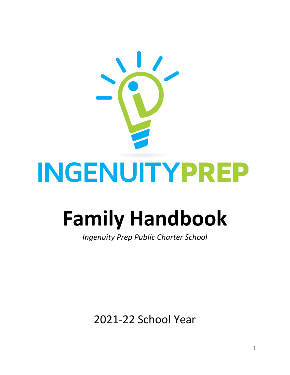

# **Family Handbook**

*Ingenuity Prep Public Charter School*

2021-22 School Year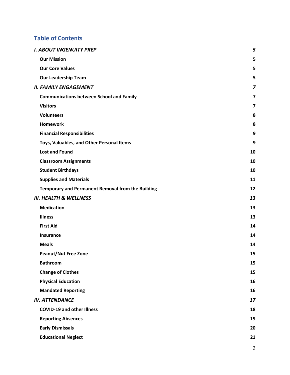# **Table of Contents**

| I. ABOUT INGENUITY PREP                           | 5                       |
|---------------------------------------------------|-------------------------|
| <b>Our Mission</b>                                | 5                       |
| <b>Our Core Values</b>                            | 5                       |
| <b>Our Leadership Team</b>                        | 5                       |
| II. FAMILY ENGAGEMENT                             | 7                       |
| <b>Communications between School and Family</b>   | $\overline{\mathbf{z}}$ |
| <b>Visitors</b>                                   | 7                       |
| <b>Volunteers</b>                                 | 8                       |
| <b>Homework</b>                                   | 8                       |
| <b>Financial Responsibilities</b>                 | 9                       |
| Toys, Valuables, and Other Personal Items         | 9                       |
| <b>Lost and Found</b>                             | 10                      |
| <b>Classroom Assignments</b>                      | 10                      |
| <b>Student Birthdays</b>                          | 10                      |
| <b>Supplies and Materials</b>                     | 11                      |
| Temporary and Permanent Removal from the Building | 12                      |
| III. HEALTH & WELLNESS                            | 13                      |
| <b>Medication</b>                                 | 13                      |
| <b>Illness</b>                                    | 13                      |
| <b>First Aid</b>                                  | 14                      |
| <b>Insurance</b>                                  | 14                      |
| <b>Meals</b>                                      | 14                      |
| <b>Peanut/Nut Free Zone</b>                       | 15                      |
| <b>Bathroom</b>                                   | 15                      |
| <b>Change of Clothes</b>                          | 15                      |
| <b>Physical Education</b>                         | 16                      |
| <b>Mandated Reporting</b>                         | 16                      |
| IV. ATTENDANCE                                    | 17                      |
| <b>COVID-19 and other Illness</b>                 | 18                      |
| <b>Reporting Absences</b>                         | 19                      |
| <b>Early Dismissals</b>                           | 20                      |
| <b>Educational Neglect</b>                        | 21                      |
|                                                   |                         |

2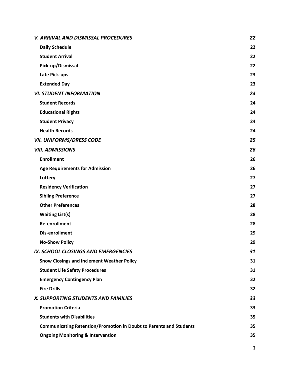| <b>V. ARRIVAL AND DISMISSAL PROCEDURES</b>                                | 22 |
|---------------------------------------------------------------------------|----|
| <b>Daily Schedule</b>                                                     | 22 |
| <b>Student Arrival</b>                                                    | 22 |
| Pick-up/Dismissal                                                         | 22 |
| Late Pick-ups                                                             | 23 |
| <b>Extended Day</b>                                                       | 23 |
| <b>VI. STUDENT INFORMATION</b>                                            | 24 |
| <b>Student Records</b>                                                    | 24 |
| <b>Educational Rights</b>                                                 | 24 |
| <b>Student Privacy</b>                                                    | 24 |
| <b>Health Records</b>                                                     | 24 |
| VII. UNIFORMS/DRESS CODE                                                  | 25 |
| <b>VIII. ADMISSIONS</b>                                                   | 26 |
| <b>Enrollment</b>                                                         | 26 |
| <b>Age Requirements for Admission</b>                                     | 26 |
| Lottery                                                                   | 27 |
| <b>Residency Verification</b>                                             | 27 |
| <b>Sibling Preference</b>                                                 | 27 |
| <b>Other Preferences</b>                                                  | 28 |
| <b>Waiting List(s)</b>                                                    | 28 |
| <b>Re-enrollment</b>                                                      | 28 |
| <b>Dis-enrollment</b>                                                     | 29 |
| <b>No-Show Policy</b>                                                     | 29 |
| IX. SCHOOL CLOSINGS AND EMERGENCIES                                       | 31 |
| <b>Snow Closings and Inclement Weather Policy</b>                         | 31 |
| <b>Student Life Safety Procedures</b>                                     | 31 |
| <b>Emergency Contingency Plan</b>                                         | 32 |
| <b>Fire Drills</b>                                                        | 32 |
| <b>X. SUPPORTING STUDENTS AND FAMILIES</b>                                | 33 |
| <b>Promotion Criteria</b>                                                 | 33 |
| <b>Students with Disabilities</b>                                         | 35 |
| <b>Communicating Retention/Promotion in Doubt to Parents and Students</b> | 35 |
| <b>Ongoing Monitoring &amp; Intervention</b>                              | 35 |

3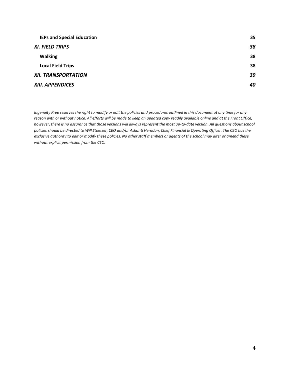| <b>IEPs and Special Education</b> | 35 |
|-----------------------------------|----|
| XI. FIELD TRIPS                   | 38 |
| <b>Walking</b>                    | 38 |
| <b>Local Field Trips</b>          | 38 |
| XII. TRANSPORTATION               | 39 |
| <b>XIII. APPENDICES</b>           | 40 |

*Ingenuity Prep reserves the right to modify or edit the policies and procedures outlined in this document at any time for any reason with or without notice. All efforts will be made to keep an updated copy readily available online and at the Front Office, however, there is no assurance that those versions will always represent the most up-to-date version. All questions about school policies should be directed to Will Stoetzer, CEO and/or Ashanti Herndon, Chief Financial & Operating Officer. The CEO has the exclusive authority to edit or modify these policies. No other staff members or agents of the school may alter or amend these without explicit permission from the CEO.*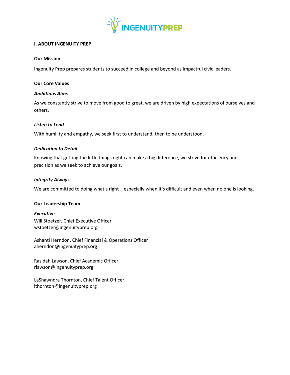

# <span id="page-4-0"></span>**I. ABOUT INGENUITY PREP**

# <span id="page-4-1"></span>**Our Mission**

Ingenuity Prep prepares students to succeed in college and beyond as impactful civic leaders.

# <span id="page-4-2"></span>**Our Core Values**

# *Ambitious Aims*

As we constantly strive to move from good to great, we are driven by high expectations of ourselves and others.

#### *Listen to Lead*

With humility and empathy, we seek first to understand, then to be understood.

# *Dedication to Detail*

Knowing that getting the little things right can make a big difference, we strive for efficiency and precision as we seek to achieve our goals.

#### *Integrity Always*

We are committed to doing what's right – especially when it's difficult and even when no one is looking.

# <span id="page-4-3"></span>**Our Leadership Team**

*Executive* Will Stoetzer, Chief Executive Officer wstoetzer@ingenuityprep.org

Ashanti Herndon, Chief Financial & Operations Officer aherndon@ingenuityprep.org

Rasidah Lawson, Chief Academic Officer rlawson@ingenuityprep.org

LaShawndra Thornton, Chief Talent Officer lthornton@ingenuityprep.org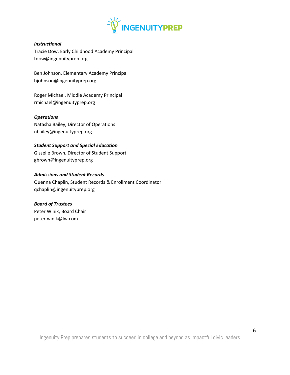

# *Instructional*

Tracie Dow, Early Childhood Academy Principal tdow@ingenuityprep.org

Ben Johnson, Elementary Academy Principal bjohnson@ingenuityprep.org

Roger Michael, Middle Academy Principal rmichael@ingenuityprep.org

# *Operations*

Natasha Bailey, Director of Operations nbailey@ingenuityprep.org

#### *Student Support and Special Education*

Gisselle Brown, Director of Student Support gbrown@ingenuityprep.org

# *Admissions and Student Records*

Quenna Chaplin, Student Records & Enrollment Coordinator qchaplin@ingenuityprep.org

#### *Board of Trustees*

Peter Winik, Board Chair peter.winik@lw.com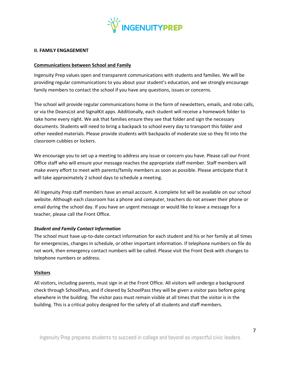

#### <span id="page-6-0"></span>**II. FAMILY ENGAGEMENT**

#### <span id="page-6-1"></span>**Communications between School and Family**

Ingenuity Prep values open and transparent communications with students and families. We will be providing regular communications to you about your student's education, and we strongly encourage family members to contact the school if you have any questions, issues or concerns.

The school will provide regular communications home in the form of newsletters, emails, and robo calls, or via the DeansList and SignalKit apps. Additionally, each student will receive a homework folder to take home every night. We ask that families ensure they see that folder and sign the necessary documents. Students will need to bring a backpack to school every day to transport this folder and other needed materials. Please provide students with backpacks of moderate size so they fit into the classroom cubbies or lockers.

We encourage you to set up a meeting to address any issue or concern you have. Please call our Front Office staff who will ensure your message reaches the appropriate staff member. Staff members will make every effort to meet with parents/family members as soon as possible. Please anticipate that it will take approximately 2 school days to schedule a meeting.

All Ingenuity Prep staff members have an email account. A complete list will be available on our school website. Although each classroom has a phone and computer, teachers do not answer their phone or email during the school day. If you have an urgent message or would like to leave a message for a teacher, please call the Front Office.

# *Student and Family Contact Information*

The school must have up-to-date contact information for each student and his or her family at all times for emergencies, changes in schedule, or other important information. If telephone numbers on file do not work, then emergency contact numbers will be called. Please visit the Front Desk with changes to telephone numbers or address.

#### <span id="page-6-2"></span>**Visitors**

All visitors, including parents, must sign in at the Front Office. All visitors will undergo a background check through SchoolPass, and if cleared by SchoolPass they will be given a visitor pass before going elsewhere in the building. The visitor pass must remain visible at all times that the visitor is in the building. This is a critical policy designed for the safety of all students and staff members.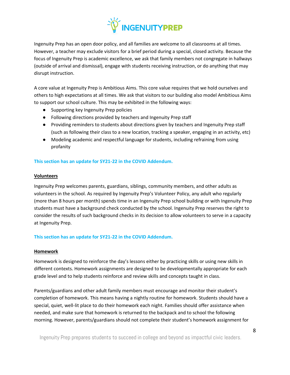

Ingenuity Prep has an open door policy, and all families are welcome to all classrooms at all times. However, a teacher may exclude visitors for a brief period during a special, closed activity. Because the focus of Ingenuity Prep is academic excellence, we ask that family members not congregate in hallways (outside of arrival and dismissal), engage with students receiving instruction, or do anything that may disrupt instruction.

A core value at Ingenuity Prep is Ambitious Aims. This core value requires that we hold ourselves and others to high expectations at all times. We ask that visitors to our building also model Ambitious Aims to support our school culture. This may be exhibited in the following ways:

- Supporting key Ingenuity Prep policies
- Following directions provided by teachers and Ingenuity Prep staff
- Providing reminders to students about directions given by teachers and Ingenuity Prep staff (such as following their class to a new location, tracking a speaker, engaging in an activity, etc)
- Modeling academic and respectful language for students, including refraining from using profanity

# **This section has an update for SY21-22 in the COVID Addendum.**

#### <span id="page-7-0"></span>**Volunteers**

Ingenuity Prep welcomes parents, guardians, siblings, community members, and other adults as volunteers in the school. As required by Ingenuity Prep's Volunteer Policy, any adult who regularly (more than 8 hours per month) spends time in an Ingenuity Prep school building or with Ingenuity Prep students must have a background check conducted by the school. Ingenuity Prep reserves the right to consider the results of such background checks in its decision to allow volunteers to serve in a capacity at Ingenuity Prep.

**This section has an update for SY21-22 in the COVID Addendum.**

# <span id="page-7-1"></span>**Homework**

Homework is designed to reinforce the day's lessons either by practicing skills or using new skills in different contexts. Homework assignments are designed to be developmentally appropriate for each grade level and to help students reinforce and review skills and concepts taught in class.

Parents/guardians and other adult family members must encourage and monitor their student's completion of homework. This means having a nightly routine for homework. Students should have a special, quiet, well-lit place to do their homework each night. Families should offer assistance when needed, and make sure that homework is returned to the backpack and to school the following morning. However, parents/guardians should not complete their student's homework assignment for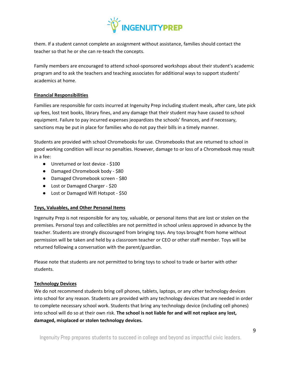

them. If a student cannot complete an assignment without assistance, families should contact the teacher so that he or she can re-teach the concepts.

Family members are encouraged to attend school-sponsored workshops about their student's academic program and to ask the teachers and teaching associates for additional ways to support students' academics at home.

# <span id="page-8-0"></span>**Financial Responsibilities**

Families are responsible for costs incurred at Ingenuity Prep including student meals, after care, late pick up fees, lost text books, library fines, and any damage that their student may have caused to school equipment. Failure to pay incurred expenses jeopardizes the schools' finances, and if necessary, sanctions may be put in place for families who do not pay their bills in a timely manner.

Students are provided with school Chromebooks for use. Chromebooks that are returned to school in good working condition will incur no penalties. However, damage to or loss of a Chromebook may result in a fee:

- Unreturned or lost device \$100
- Damaged Chromebook body \$80
- Damaged Chromebook screen \$80
- Lost or Damaged Charger \$20
- Lost or Damaged Wifl Hotspot \$50

# <span id="page-8-1"></span>**Toys, Valuables, and Other Personal Items**

Ingenuity Prep is not responsible for any toy, valuable, or personal items that are lost or stolen on the premises. Personal toys and collectibles are not permitted in school unless approved in advance by the teacher. Students are strongly discouraged from bringing toys. Any toys brought from home without permission will be taken and held by a classroom teacher or CEO or other staff member. Toys will be returned following a conversation with the parent/guardian.

Please note that students are not permitted to bring toys to school to trade or barter with other students.

# **Technology Devices**

We do not recommend students bring cell phones, tablets, laptops, or any other technology devices into school for any reason. Students are provided with any technology devices that are needed in order to complete necessary school work. Students that bring any technology device (including cell phones) into school will do so at their own risk. **The school is not liable for and will not replace any lost, damaged, misplaced or stolen technology devices.**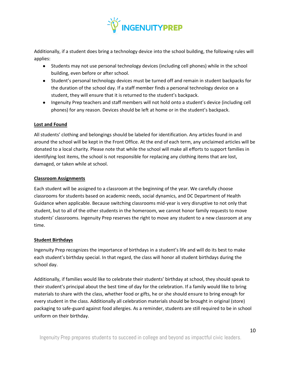

Additionally, if a student does bring a technology device into the school building, the following rules will applies:

- Students may not use personal technology devices (including cell phones) while in the school building, even before or after school.
- Student's personal technology devices must be turned off and remain in student backpacks for the duration of the school day. If a staff member finds a personal technology device on a student, they will ensure that it is returned to the student's backpack.
- Ingenuity Prep teachers and staff members will not hold onto a student's device (including cell phones) for any reason. Devices should be left at home or in the student's backpack.

# <span id="page-9-0"></span>**Lost and Found**

All students' clothing and belongings should be labeled for identification. Any articles found in and around the school will be kept in the Front Office. At the end of each term, any unclaimed articles will be donated to a local charity. Please note that while the school will make all efforts to support families in identifying lost items, the school is not responsible for replacing any clothing items that are lost, damaged, or taken while at school.

# <span id="page-9-1"></span>**Classroom Assignments**

Each student will be assigned to a classroom at the beginning of the year. We carefully choose classrooms for students based on academic needs, social dynamics, and DC Department of Health Guidance when applicable. Because switching classrooms mid-year is very disruptive to not only that student, but to all of the other students in the homeroom, we cannot honor family requests to move students' classrooms. Ingenuity Prep reserves the right to move any student to a new classroom at any time.

# <span id="page-9-2"></span>**Student Birthdays**

Ingenuity Prep recognizes the importance of birthdays in a student's life and will do its best to make each student's birthday special. In that regard, the class will honor all student birthdays during the school day.

Additionally, if families would like to celebrate their students' birthday at school, they should speak to their student's principal about the best time of day for the celebration. If a family would like to bring materials to share with the class, whether food or gifts, he or she should ensure to bring enough for every student in the class. Additionally all celebration materials should be brought in original (store) packaging to safe-guard against food allergies. As a reminder, students are still required to be in school uniform on their birthday.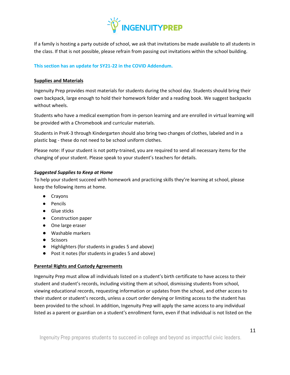

If a family is hosting a party outside of school, we ask that invitations be made available to all students in the class. If that is not possible, please refrain from passing out invitations within the school building.

# **This section has an update for SY21-22 in the COVID Addendum.**

# <span id="page-10-0"></span>**Supplies and Materials**

Ingenuity Prep provides most materials for students during the school day. Students should bring their own backpack, large enough to hold their homework folder and a reading book. We suggest backpacks without wheels.

Students who have a medical exemption from in-person learning and are enrolled in virtual learning will be provided with a Chromebook and curricular materials.

Students in PreK-3 through Kindergarten should also bring two changes of clothes, labeled and in a plastic bag - these do not need to be school uniform clothes.

Please note: If your student is not potty-trained, you are required to send all necessary items for the changing of your student. Please speak to your student's teachers for details.

#### *Suggested Supplies to Keep at Home*

To help your student succeed with homework and practicing skills they're learning at school, please keep the following items at home.

- Crayons
- Pencils
- Glue sticks
- Construction paper
- One large eraser
- Washable markers
- Scissors
- Highlighters (for students in grades 5 and above)
- Post it notes (for students in grades 5 and above)

# **Parental Rights and Custody Agreements**

Ingenuity Prep must allow all individuals listed on a student's birth certificate to have access to their student and student's records, including visiting them at school, dismissing students from school, viewing educational records, requesting information or updates from the school, and other access to their student or student's records, unless a court order denying or limiting access to the student has been provided to the school. In addition, Ingenuity Prep will apply the same access to any individual listed as a parent or guardian on a student's enrollment form, even if that individual is not listed on the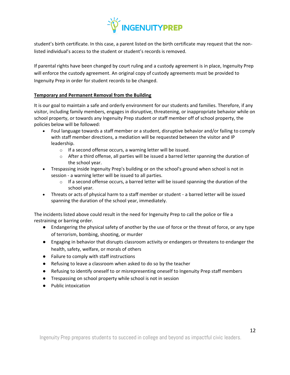

student's birth certificate. In this case, a parent listed on the birth certificate may request that the nonlisted individual's access to the student or student's records is removed.

If parental rights have been changed by court ruling and a custody agreement is in place, Ingenuity Prep will enforce the custody agreement. An original copy of custody agreements must be provided to Ingenuity Prep in order for student records to be changed.

# <span id="page-11-0"></span>**Temporary and Permanent Removal from the Building**

It is our goal to maintain a safe and orderly environment for our students and families. Therefore, if any visitor, including family members, engages in disruptive, threatening, or inappropriate behavior while on school property, or towards any Ingenuity Prep student or staff member off of school property, the policies below will be followed:

- Foul language towards a staff member or a student, disruptive behavior and/or failing to comply with staff member directions, a mediation will be requested between the visitor and IP leadership.
	- o If a second offense occurs, a warning letter will be issued.
	- $\circ$  After a third offense, all parties will be issued a barred letter spanning the duration of the school year.
- Trespassing inside Ingenuity Prep's building or on the school's ground when school is not in session - a warning letter will be issued to all parties.
	- $\circ$  If a second offense occurs, a barred letter will be issued spanning the duration of the school year.
- Threats or acts of physical harm to a staff member or student a barred letter will be issued spanning the duration of the school year, immediately.

The incidents listed above could result in the need for Ingenuity Prep to call the police or file a restraining or barring order.

- Endangering the physical safety of another by the use of force or the threat of force, or any type of terrorism, bombing, shooting, or murder
- Engaging in behavior that disrupts classroom activity or endangers or threatens to endanger the health, safety, welfare, or morals of others
- Failure to comply with staff instructions
- Refusing to leave a classroom when asked to do so by the teacher
- Refusing to identify oneself to or misrepresenting oneself to Ingenuity Prep staff members
- Trespassing on school property while school is not in session
- Public intoxication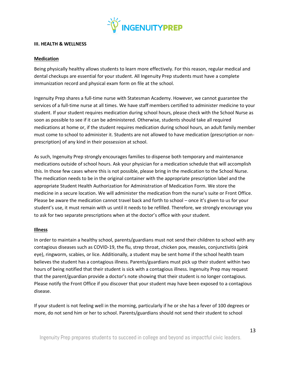

#### <span id="page-12-0"></span>**III. HEALTH & WELLNESS**

#### <span id="page-12-1"></span>**Medication**

Being physically healthy allows students to learn more effectively. For this reason, regular medical and dental checkups are essential for your student. All Ingenuity Prep students must have a complete immunization record and physical exam form on file at the school.

Ingenuity Prep shares a full-time nurse with Statesman Academy. However, we cannot guarantee the services of a full-time nurse at all times. We have staff members certified to administer medicine to your student. If your student requires medication during school hours, please check with the School Nurse as soon as possible to see if it can be administered. Otherwise, students should take all required medications at home or, if the student requires medication during school hours, an adult family member must come to school to administer it. Students are not allowed to have medication (prescription or nonprescription) of any kind in their possession at school.

As such, Ingenuity Prep strongly encourages families to dispense both temporary and maintenance medications outside of school hours. Ask your physician for a medication schedule that will accomplish this. In those few cases where this is not possible, please bring in the medication to the School Nurse. The medication needs to be in the original container with the appropriate prescription label and the appropriate Student Health Authorization for Administration of Medication Form. We store the medicine in a secure location. We will administer the medication from the nurse's suite or Front Office. Please be aware the medication cannot travel back and forth to school – once it's given to us for your student's use, it must remain with us until it needs to be refilled. Therefore, we strongly encourage you to ask for two separate prescriptions when at the doctor's office with your student.

# <span id="page-12-2"></span>**Illness**

In order to maintain a healthy school, parents/guardians must not send their children to school with any contagious diseases such as COVID-19, the flu, strep throat, chicken pox, measles, conjunctivitis (pink eye), ringworm, scabies, or lice. Additionally, a student may be sent home if the school health team believes the student has a contagious illness. Parents/guardians must pick up their student within two hours of being notified that their student is sick with a contagious illness. Ingenuity Prep may request that the parent/guardian provide a doctor's note showing that their student is no longer contagious. Please notify the Front Office if you discover that your student may have been exposed to a contagious disease.

If your student is not feeling well in the morning, particularly if he or she has a fever of 100 degrees or more, do not send him or her to school. Parents/guardians should not send their student to school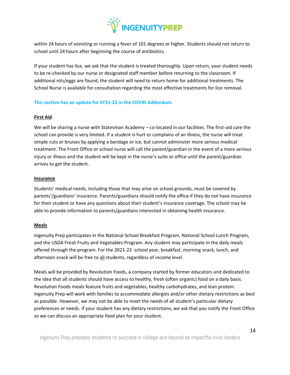

within 24 hours of vomiting or running a fever of 101 degrees or higher. Students should not return to school until 24 hours after beginning the course of antibiotics.

If your student has lice, we ask that the student is treated thoroughly. Upon return, your student needs to be re-checked by our nurse or designated staff member before returning to the classroom. If additional nits/eggs are found, the student will need to return home for additional treatments. The School Nurse is available for consultation regarding the most effective treatments for lice removal.

# **This section has an update for SY21-22 in the COVID Addendum.**

# <span id="page-13-0"></span>**First Aid**

We will be sharing a nurse with Statesman Academy – co-located in our facilities. The first-aid care the school can provide is very limited. If a student is hurt or complains of an illness, the nurse will treat simple cuts or bruises by applying a bandage or ice, but cannot administer more serious medical treatment. The Front Office or school nurse will call the parent/guardian in the event of a more serious injury or illness and the student will be kept in the nurse's suite or office until the parent/guardian arrives to get the student.

# <span id="page-13-1"></span>**Insurance**

Students' medical needs, including those that may arise on school grounds, must be covered by parents'/guardians' insurance. Parents/guardians should notify the office if they do not have insurance for their student or have any questions about their student's insurance coverage. The school may be able to provide information to parents/guardians interested in obtaining health insurance.

# <span id="page-13-2"></span>**Meals**

Ingenuity Prep participates in the National School Breakfast Program, National School Lunch Program, and the USDA Fresh Fruits and Vegetables Program. Any student may participate in the daily meals offered through the program. For the 2021-22 school year, breakfast, morning snack, lunch, and afternoon snack will be free to all students, regardless of income level.

Meals will be provided by Revolution Foods, a company started by former educators and dedicated to the idea that all students should have access to healthy, fresh (often organic) food on a daily basis. Revolution Foods meals feature fruits and vegetables, healthy carbohydrates, and lean protein. Ingenuity Prep will work with families to accommodate allergies and/or other dietary restrictions as best as possible. However, we may not be able to meet the needs of all student's particular dietary preferences or needs. If your student has any dietary restrictions, we ask that you notify the Front Office so we can discuss an appropriate food plan for your student.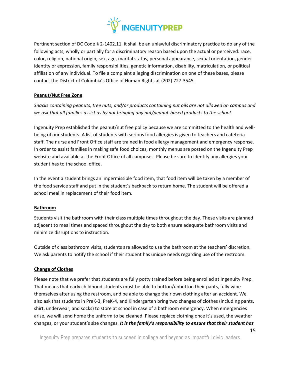

Pertinent section of DC Code § 2-1402.11, it shall be an unlawful discriminatory practice to do any of the following acts, wholly or partially for a discriminatory reason based upon the actual or perceived: race, color, religion, national origin, sex, age, marital status, personal appearance, sexual orientation, gender identity or expression, family responsibilities, genetic information, disability, matriculation, or political affiliation of any individual. To file a complaint alleging discrimination on one of these bases, please contact the District of Columbia's Office of Human Rights at (202) 727-3545.

# <span id="page-14-0"></span>**Peanut/Nut Free Zone**

*Snacks containing peanuts, tree nuts, and/or products containing nut oils are not allowed on campus and we ask that all families assist us by not bringing any nut/peanut-based products to the school.*

Ingenuity Prep established the peanut/nut free policy because we are committed to the health and wellbeing of our students. A list of students with serious food allergies is given to teachers and cafeteria staff. The nurse and Front Office staff are trained in food allergy management and emergency response. In order to assist families in making safe food choices, monthly menus are posted on the Ingenuity Prep website and available at the Front Office of all campuses. Please be sure to identify any allergies your student has to the school office.

In the event a student brings an impermissible food item, that food item will be taken by a member of the food service staff and put in the student's backpack to return home. The student will be offered a school meal in replacement of their food item.

# <span id="page-14-1"></span>**Bathroom**

Students visit the bathroom with their class multiple times throughout the day. These visits are planned adjacent to meal times and spaced throughout the day to both ensure adequate bathroom visits and minimize disruptions to instruction.

Outside of class bathroom visits, students are allowed to use the bathroom at the teachers' discretion. We ask parents to notify the school if their student has unique needs regarding use of the restroom.

# <span id="page-14-2"></span>**Change of Clothes**

Please note that we prefer that students are fully potty trained before being enrolled at Ingenuity Prep. That means that early childhood students must be able to button/unbutton their pants, fully wipe themselves after using the restroom, and be able to change their own clothing after an accident. We also ask that students in PreK-3, PreK-4, and Kindergarten bring two changes of clothes (including pants, shirt, underwear, and socks) to store at school in case of a bathroom emergency. When emergencies arise, we will send home the uniform to be cleaned. Please replace clothing once it's used, the weather changes, or your student's size changes. *It is the family's responsibility to ensure that their student has*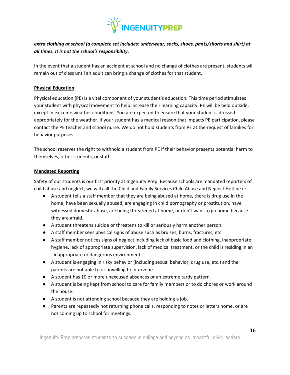

# *extra clothing at school (a complete set includes: underwear, socks, shoes, pants/shorts and shirt) at all times. It is not the school's responsibility.*

In the event that a student has an accident at school and no change of clothes are present, students will remain out of class until an adult can bring a change of clothes for that student.

# <span id="page-15-0"></span>**Physical Education**

Physical education (PE) is a vital component of your student's education. This time period stimulates your student with physical movement to help increase their learning capacity. PE will be held outside, except in extreme weather conditions. You are expected to ensure that your student is dressed appropriately for the weather. If your student has a medical reason that impacts PE participation, please contact the PE teacher and school nurse. We do not hold students from PE at the request of families for behavior purposes.

The school reserves the right to withhold a student from PE if their behavior presents potential harm to themselves, other students, or staff.

# <span id="page-15-1"></span>**Mandated Reporting**

Safety of our students is our first priority at Ingenuity Prep. Because schools are mandated reporters of child abuse and neglect, we will call the Child and Family Services Child Abuse and Neglect Hotline if:

- A student tells a staff member that they are being abused at home, there is drug use in the home, have been sexually abused, are engaging in child pornography or prostitution, have witnessed domestic abuse, are being threatened at home, or don't want to go home because they are afraid.
- A student threatens suicide or threatens to kill or seriously harm another person.
- A staff member sees physical signs of abuse such as bruises, burns, fractures, etc.
- A staff member notices signs of neglect including lack of basic food and clothing, inappropriate hygiene, lack of appropriate supervision, lack of medical treatment, or the child is residing in an inappropriate or dangerous environment.
- A student is engaging in risky behavior (including sexual behavior, drug use, etc.) and the parents are not able to or unwilling to intervene.
- A student has 10 or more unexcused absences or an extreme tardy pattern.
- A student is being kept from school to care for family members or to do chores or work around the house.
- A student is not attending school because they are holding a job.
- Parents are repeatedly not returning phone calls, responding to notes or letters home, or are not coming up to school for meetings.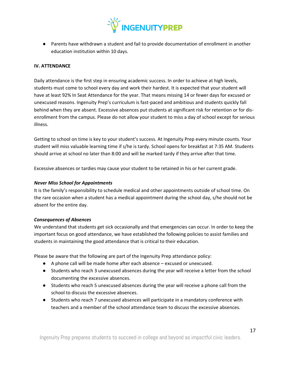

● Parents have withdrawn a student and fail to provide documentation of enrollment in another education institution within 10 days.

# <span id="page-16-0"></span>**IV. ATTENDANCE**

Daily attendance is the first step in ensuring academic success. In order to achieve at high levels, students must come to school every day and work their hardest. It is expected that your student will have at least 92% In Seat Attendance for the year. That means missing 14 or fewer days for excused *or* unexcused reasons. Ingenuity Prep's curriculum is fast-paced and ambitious and students quickly fall behind when they are absent. Excessive absences put students at significant risk for retention or for disenrollment from the campus. Please do not allow your student to miss a day of school except for serious illness.

Getting to school on time is key to your student's success. At Ingenuity Prep every minute counts. Your student will miss valuable learning time if s/he is tardy. School opens for breakfast at 7:35 AM. Students should arrive at school no later than 8:00 and will be marked tardy if they arrive after that time.

Excessive absences or tardies may cause your student to be retained in his or her current grade.

#### *Never Miss School for Appointments*

It is the family's responsibility to schedule medical and other appointments outside of school time. On the rare occasion when a student has a medical appointment during the school day, s/he should not be absent for the entire day.

#### *Consequences of Absences*

We understand that students get sick occasionally and that emergencies can occur. In order to keep the important focus on good attendance, we have established the following policies to assist families and students in maintaining the good attendance that is critical to their education.

Please be aware that the following are part of the Ingenuity Prep attendance policy:

- A phone call will be made home after each absence excused or unexcused.
- Students who reach 3 unexcused absences during the year will receive a letter from the school documenting the excessive absences.
- Students who reach 5 unexcused absences during the year will receive a phone call from the school to discuss the excessive absences.
- Students who reach 7 unexcused absences will participate in a mandatory conference with teachers and a member of the school attendance team to discuss the excessive absences.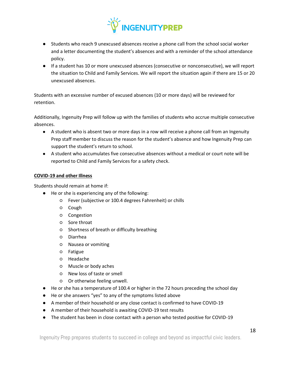

- Students who reach 9 unexcused absences receive a phone call from the school social worker and a letter documenting the student's absences and with a reminder of the school attendance policy.
- If a student has 10 or more unexcused absences (consecutive or nonconsecutive), we will report the situation to Child and Family Services. We will report the situation again if there are 15 or 20 unexcused absences.

Students with an excessive number of excused absences (10 or more days) will be reviewed for retention.

Additionally, Ingenuity Prep will follow up with the families of students who accrue multiple consecutive absences.

- A student who is absent two or more days in a row will receive a phone call from an Ingenuity Prep staff member to discuss the reason for the student's absence and how Ingenuity Prep can support the student's return to school.
- A student who accumulates five consecutive absences without a medical or court note will be reported to Child and Family Services for a safety check.

# <span id="page-17-0"></span>**COVID-19 and other Illness**

Students should remain at home if:

- He or she is experiencing any of the following:
	- Fever (subjective or 100.4 degrees Fahrenheit) or chills
	- Cough
	- Congestion
	- Sore throat
	- Shortness of breath or difficulty breathing
	- Diarrhea
	- Nausea or vomiting
	- Fatigue
	- Headache
	- Muscle or body aches
	- New loss of taste or smell
	- Or otherwise feeling unwell.
- He or she has a temperature of 100.4 or higher in the 72 hours preceding the school day
- He or she answers "yes" to any of the symptoms listed above
- A member of their household or any close contact is confirmed to have COVID-19
- A member of their household is awaiting COVID-19 test results
- The student has been in close contact with a person who tested positive for COVID-19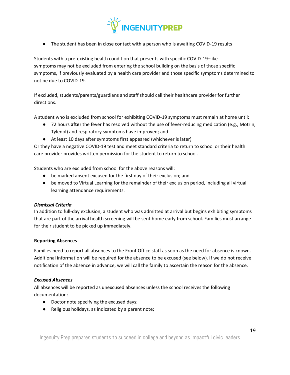

● The student has been in close contact with a person who is awaiting COVID-19 results

Students with a pre-existing health condition that presents with specific COVID-19–like symptoms may not be excluded from entering the school building on the basis of those specific symptoms, if previously evaluated by a health care provider and those specific symptoms determined to not be due to COVID-19.

If excluded, students/parents/guardians and staff should call their healthcare provider for further directions.

A student who is excluded from school for exhibiting COVID-19 symptoms must remain at home until:

- 72 hours **after** the fever has resolved without the use of fever-reducing medication (e.g., Motrin, Tylenol) and respiratory symptoms have improved; and
- At least 10 days after symptoms first appeared (whichever is later)

Or they have a negative COVID-19 test and meet standard criteria to return to school or their health care provider provides written permission for the student to return to school.

Students who are excluded from school for the above reasons will:

- be marked absent excused for the first day of their exclusion; and
- be moved to Virtual Learning for the remainder of their exclusion period, including all virtual learning attendance requirements.

# *Dismissal Criteria*

In addition to full-day exclusion, a student who was admitted at arrival but begins exhibiting symptoms that are part of the arrival health screening will be sent home early from school. Families must arrange for their student to be picked up immediately.

# <span id="page-18-0"></span>**Reporting Absences**

Families need to report all absences to the Front Office staff as soon as the need for absence is known. Additional information will be required for the absence to be excused (see below). If we do not receive notification of the absence in advance, we will call the family to ascertain the reason for the absence.

# *Excused Absences*

All absences will be reported as unexcused absences unless the school receives the following documentation:

- Doctor note specifying the excused days;
- Religious holidays, as indicated by a parent note;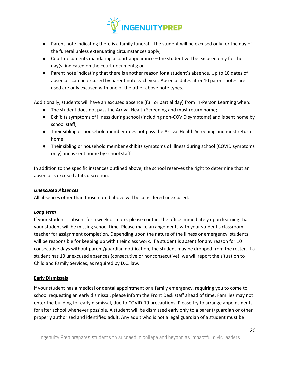

- Parent note indicating there is a family funeral the student will be excused only for the day of the funeral unless extenuating circumstances apply;
- Court documents mandating a court appearance the student will be excused only for the day(s) indicated on the court documents; or
- Parent note indicating that there is another reason for a student's absence. Up to 10 dates of absences can be excused by parent note each year. Absence dates after 10 parent notes are used are only excused with one of the other above note types.

Additionally, students will have an excused absence (full or partial day) from In-Person Learning when:

- The student does not pass the Arrival Health Screening and must return home;
- Exhibits symptoms of illness during school (including non-COVID symptoms) and is sent home by school staff;
- Their sibling or household member does not pass the Arrival Health Screening and must return home;
- Their sibling or household member exhibits symptoms of illness during school (COVID symptoms only) and is sent home by school staff.

In addition to the specific instances outlined above, the school reserves the right to determine that an absence is excused at its discretion.

# *Unexcused Absences*

All absences other than those noted above will be considered unexcused.

# *Long term*

If your student is absent for a week or more, please contact the office immediately upon learning that your student will be missing school time. Please make arrangements with your student's classroom teacher for assignment completion. Depending upon the nature of the illness or emergency, students will be responsible for keeping up with their class work. If a student is absent for any reason for 10 consecutive days without parent/guardian notification, the student may be dropped from the roster. If a student has 10 unexcused absences (consecutive or nonconsecutive), we will report the situation to Child and Family Services, as required by D.C. law.

# <span id="page-19-0"></span>**Early Dismissals**

If your student has a medical or dental appointment or a family emergency, requiring you to come to school requesting an early dismissal, please inform the Front Desk staff ahead of time. Families may not enter the building for early dismissal, due to COVID-19 precautions. Please try to arrange appointments for after school whenever possible. A student will be dismissed early only to a parent/guardian or other properly authorized and identified adult. Any adult who is not a legal guardian of a student must be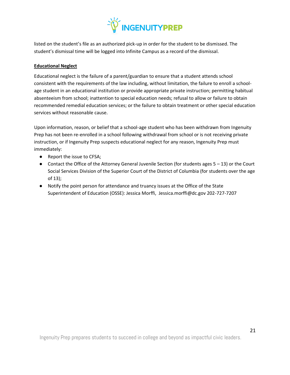

listed on the student's file as an authorized pick-up in order for the student to be dismissed. The student's dismissal time will be logged into Infinite Campus as a record of the dismissal.

# <span id="page-20-0"></span>**Educational Neglect**

Educational neglect is the failure of a parent/guardian to ensure that a student attends school consistent with the requirements of the law including, without limitation, the failure to enroll a schoolage student in an educational institution or provide appropriate private instruction; permitting habitual absenteeism from school; inattention to special education needs; refusal to allow or failure to obtain recommended remedial education services; or the failure to obtain treatment or other special education services without reasonable cause.

Upon information, reason, or belief that a school-age student who has been withdrawn from Ingenuity Prep has not been re-enrolled in a school following withdrawal from school or is not receiving private instruction, or if Ingenuity Prep suspects educational neglect for any reason, Ingenuity Prep must immediately:

- Report the issue to CFSA;
- Contact the Office of the Attorney General Juvenile Section (for students ages 5 13) or the Court Social Services Division of the Superior Court of the District of Columbia (for students over the age of 13);
- Notify the point person for attendance and truancy issues at the Office of the State Superintendent of Education (OSSE): Jessica Morffi, Jessica.morffi@dc.gov 202-727-7207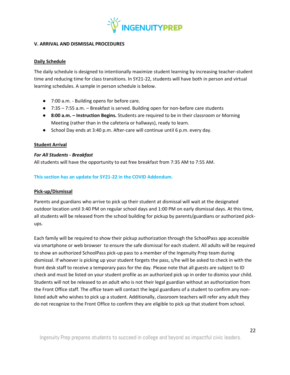

# <span id="page-21-0"></span>**V. ARRIVAL AND DISMISSAL PROCEDURES**

# <span id="page-21-1"></span>**Daily Schedule**

The daily schedule is designed to intentionally maximize student learning by increasing teacher-student time and reducing time for class transitions. In SY21-22, students will have both in person and virtual learning schedules. A sample in person schedule is below.

- 7:00 a.m. Building opens for before care.
- 7:35 7:55 a.m. Breakfast is served. Building open for non-before care students
- **8:00 a.m. – Instruction Begins.** Students are required to be in their classroom or Morning Meeting (rather than in the cafeteria or hallways), ready to learn.
- School Day ends at 3:40 p.m. After-care will continue until 6 p.m. every day.

# <span id="page-21-2"></span>**Student Arrival**

# *For All Students - Breakfast*

All students will have the opportunity to eat free breakfast from 7:35 AM to 7:55 AM.

# **This section has an update for SY21-22 in the COVID Addendum.**

# <span id="page-21-3"></span>**Pick-up/Dismissal**

Parents and guardians who arrive to pick up their student at dismissal will wait at the designated outdoor location until 3:40 PM on regular school days and 1:00 PM on early dismissal days. At this time, all students will be released from the school building for pickup by parents/guardians or authorized pickups.

Each family will be required to show their pickup authorization through the SchoolPass app accessible via smartphone or web browser to ensure the safe dismissal for each student. All adults will be required to show an authorized SchoolPass pick-up pass to a member of the Ingenuity Prep team during dismissal. If whoever is picking up your student forgets the pass, s/he will be asked to check in with the front desk staff to receive a temporary pass for the day. Please note that all guests are subject to ID check and must be listed on your student profile as an authorized pick up in order to dismiss your child. Students will not be released to an adult who is not their legal guardian without an authorization from the Front Office staff. The office team will contact the legal guardians of a student to confirm any nonlisted adult who wishes to pick up a student. Additionally, classroom teachers will refer any adult they do not recognize to the Front Office to confirm they are eligible to pick up that student from school.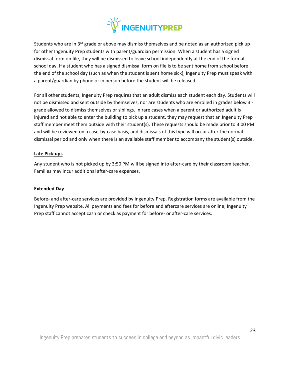

Students who are in 3<sup>rd</sup> grade or above may dismiss themselves and be noted as an authorized pick up for other Ingenuity Prep students with parent/guardian permission. When a student has a signed dismissal form on file, they will be dismissed to leave school independently at the end of the formal school day. If a student who has a signed dismissal form on file is to be sent home from school before the end of the school day (such as when the student is sent home sick), Ingenuity Prep must speak with a parent/guardian by phone or in person before the student will be released.

For all other students, Ingenuity Prep requires that an adult dismiss each student each day. Students will not be dismissed and sent outside by themselves, nor are students who are enrolled in grades below 3rd grade allowed to dismiss themselves or siblings. In rare cases when a parent or authorized adult is injured and not able to enter the building to pick up a student, they may request that an Ingenuity Prep staff member meet them outside with their student(s). These requests should be made prior to 3:00 PM and will be reviewed on a case-by-case basis, and dismissals of this type will occur after the normal dismissal period and only when there is an available staff member to accompany the student(s) outside.

#### <span id="page-22-0"></span>**Late Pick-ups**

Any student who is not picked up by 3:50 PM will be signed into after-care by their classroom teacher. Families may incur additional after-care expenses.

# <span id="page-22-1"></span>**Extended Day**

Before- and after-care services are provided by Ingenuity Prep. Registration forms are available from the Ingenuity Prep website. All payments and fees for before and aftercare services are online; Ingenuity Prep staff cannot accept cash or check as payment for before- or after-care services.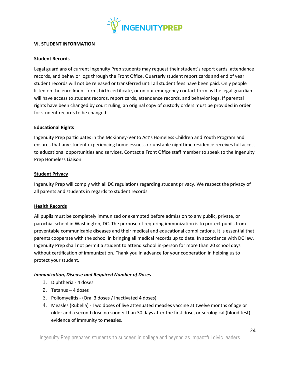

#### <span id="page-23-0"></span>**VI. STUDENT INFORMATION**

#### <span id="page-23-1"></span>**Student Records**

Legal guardians of current Ingenuity Prep students may request their student's report cards, attendance records, and behavior logs through the Front Office. Quarterly student report cards and end of year student records will not be released or transferred until all student fees have been paid. Only people listed on the enrollment form, birth certificate, or on our emergency contact form as the legal guardian will have access to student records, report cards, attendance records, and behavior logs. If parental rights have been changed by court ruling, an original copy of custody orders must be provided in order for student records to be changed.

#### <span id="page-23-2"></span>**Educational Rights**

Ingenuity Prep participates in the McKinney-Vento Act's Homeless Children and Youth Program and ensures that any student experiencing homelessness or unstable nighttime residence receives full access to educational opportunities and services. Contact a Front Office staff member to speak to the Ingenuity Prep Homeless Liaison.

#### <span id="page-23-3"></span>**Student Privacy**

Ingenuity Prep will comply with all DC regulations regarding student privacy. We respect the privacy of all parents and students in regards to student records.

# <span id="page-23-4"></span>**Health Records**

All pupils must be completely immunized or exempted before admission to any public, private, or parochial school in Washington, DC. The purpose of requiring immunization is to protect pupils from preventable communicable diseases and their medical and educational complications. It is essential that parents cooperate with the school in bringing all medical records up to date. In accordance with DC law, Ingenuity Prep shall not permit a student to attend school in-person for more than 20 school days without certification of immunization. Thank you in advance for your cooperation in helping us to protect your student.

# *Immunization, Disease and Required Number of Doses*

- 1. Diphtheria 4 doses
- 2. Tetanus 4 doses
- 3. Poliomyelitis (Oral 3 doses / Inactivated 4 doses)
- 4. Measles (Rubella) Two doses of live attenuated measles vaccine at twelve months of age or older and a second dose no sooner than 30 days after the first dose, or serological (blood test) evidence of immunity to measles.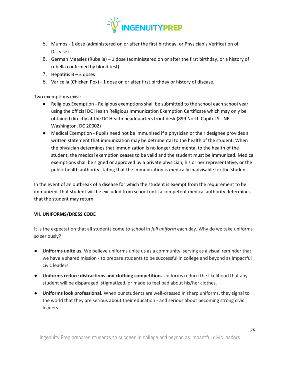

- 5. Mumps 1 dose (administered on or after the first birthday, or Physician's Verification of Disease)
- 6. German Measles (Rubella) 1 dose (administered on or after the first birthday, or a history of rubella confirmed by blood test)
- 7. Hepatitis  $B 3$  doses
- 8. Varicella (Chicken Pox) 1 dose on or after first birthday or history of disease.

Two exemptions exist:

- Religious Exemption Religious exemptions shall be submitted to the school each school year using the official DC Health Religious Immunization Exemption Certificate which may only be obtained directly at the DC Health headquarters front desk (899 North Capitol St. NE, Washington, DC 20002)
- Medical Exemption Pupils need not be immunized if a physician or their designee provides a written statement that immunization may be detrimental to the health of the student. When the physician determines that immunization is no longer detrimental to the health of the student, the medical exemption ceases to be valid and the student must be immunized. Medical exemptions shall be signed or approved by a private physician, his or her representative, or the public health authority stating that the immunization is medically inadvisable for the student.

In the event of an outbreak of a disease for which the student is exempt from the requirement to be immunized, that student will be excluded from school until a competent medical authority determines that the student may return.

# <span id="page-24-0"></span>**VII. UNIFORMS/DRESS CODE**

It is the expectation that all students come to school in *full uniform* each day. Why do we take uniforms so seriously?

- **Uniforms unite us.** We believe uniforms unite us as a community, serving as a visual reminder that we have a shared mission - to prepare students to be successful in college and beyond as impactful civic leaders.
- **Uniforms reduce distractions and clothing competition.** Uniforms reduce the likelihood that any student will be disparaged, stigmatized, or made to feel bad about his/her clothes.
- **Uniforms look professional.** When our students are well-dressed in sharp uniforms, they signal to the world that they are serious about their education - and serious about becoming strong civic leaders.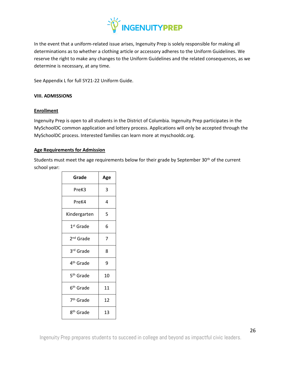

In the event that a uniform-related issue arises, Ingenuity Prep is solely responsible for making all determinations as to whether a clothing article or accessory adheres to the Uniform Guidelines. We reserve the right to make any changes to the Uniform Guidelines and the related consequences, as we determine is necessary, at any time.

See Appendix L for full SY21-22 Uniform Guide.

# <span id="page-25-0"></span>**VIII. ADMISSIONS**

#### <span id="page-25-1"></span>**Enrollment**

Ingenuity Prep is open to all students in the District of Columbia. Ingenuity Prep participates in the MySchoolDC common application and lottery process. Applications will only be accepted through the MySchoolDC process. Interested families can learn more at myschooldc.org.

#### <span id="page-25-2"></span>**Age Requirements for Admission**

Students must meet the age requirements below for their grade by September 30<sup>th</sup> of the current school year:

| Grade                 | Age |
|-----------------------|-----|
| PreK3                 | 3   |
| PreK4                 | 4   |
| Kindergarten          | 5   |
| 1 <sup>st</sup> Grade | 6   |
| 2 <sup>nd</sup> Grade | 7   |
| 3rd Grade             | 8   |
| 4 <sup>th</sup> Grade | 9   |
| 5 <sup>th</sup> Grade | 10  |
| 6 <sup>th</sup> Grade | 11  |
| 7 <sup>th</sup> Grade | 12  |
| 8 <sup>th</sup> Grade | 13  |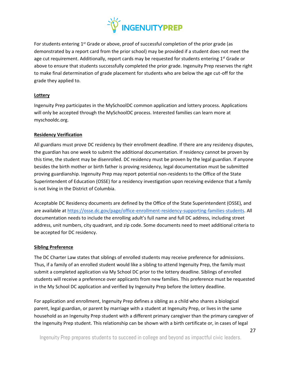

For students entering 1<sup>st</sup> Grade or above, proof of successful completion of the prior grade (as demonstrated by a report card from the prior school) may be provided if a student does not meet the age cut requirement. Additionally, report cards may be requested for students entering  $1<sup>st</sup>$  Grade or above to ensure that students successfully completed the prior grade. Ingenuity Prep reserves the right to make final determination of grade placement for students who are below the age cut-off for the grade they applied to.

# <span id="page-26-0"></span>**Lottery**

Ingenuity Prep participates in the MySchoolDC common application and lottery process. Applications will only be accepted through the MySchoolDC process. Interested families can learn more at myschooldc.org.

# <span id="page-26-1"></span>**Residency Verification**

All guardians must prove DC residency by their enrollment deadline. If there are any residency disputes, the guardian has one week to submit the additional documentation. If residency cannot be proven by this time, the student may be disenrolled. DC residency must be proven by the legal guardian. If anyone besides the birth mother or birth father is proving residency, legal documentation must be submitted proving guardianship. Ingenuity Prep may report potential non-residents to the Office of the State Superintendent of Education (OSSE) for a residency investigation upon receiving evidence that a family is not living in the District of Columbia.

Acceptable DC Residency documents are defined by the Office of the State Superintendent (OSSE), and are available at [https://osse.dc.gov/page/office-enrollment-residency-supporting-families-students.](https://osse.dc.gov/page/office-enrollment-residency-supporting-families-students) All documentation needs to include the enrolling adult's full name and full DC address, including street address, unit numbers, city quadrant, and zip code. Some documents need to meet additional criteria to be accepted for DC residency.

# <span id="page-26-2"></span>**Sibling Preference**

The DC Charter Law states that siblings of enrolled students may receive preference for admissions. Thus, if a family of an enrolled student would like a sibling to attend Ingenuity Prep, the family must submit a completed application via My School DC prior to the lottery deadline. Siblings of enrolled students will receive a preference over applicants from new families. This preference must be requested in the My School DC application and verified by Ingenuity Prep before the lottery deadline.

For application and enrollment, Ingenuity Prep defines a sibling as a child who shares a biological parent, legal guardian, or parent by marriage with a student at Ingenuity Prep, or lives in the same household as an Ingenuity Prep student with a different primary caregiver than the primary caregiver of the Ingenuity Prep student. This relationship can be shown with a birth certificate or, in cases of legal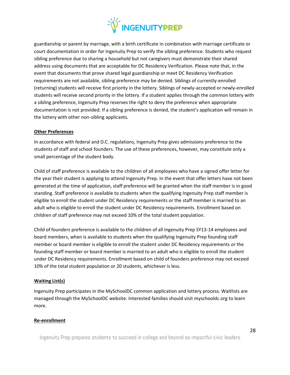

guardianship or parent by marriage, with a birth certificate in combination with marriage certificate or court documentation in order for Ingenuity Prep to verify the sibling preference. Students who request sibling preference due to sharing a household but not caregivers must demonstrate their shared address using documents that are acceptable for DC Residency Verification. Please note that, in the event that documents that prove shared legal guardianship or meet DC Residency Verification requirements are not available, sibling preference may be denied. Siblings of currently-enrolled (returning) students will receive first priority in the lottery. Siblings of newly-accepted or newly-enrolled students will receive second priority in the lottery. If a student applies through the common lottery with a sibling preference, Ingenuity Prep reserves the right to deny the preference when appropriate documentation is not provided. If a sibling preference is denied, the student's application will remain in the lottery with other non-sibling applicants.

# <span id="page-27-0"></span>**Other Preferences**

In accordance with federal and D.C. regulations, Ingenuity Prep gives admissions preference to the students of staff and school founders. The use of these preferences, however, may constitute only a small percentage of the student body.

Child of staff preference is available to the children of all employees who have a signed offer letter for the year their student is applying to attend Ingenuity Prep. In the event that offer letters have not been generated at the time of application, staff preference will be granted when the staff member is in good standing. Staff preference is available to students when the qualifying Ingenuity Prep staff member is eligible to enroll the student under DC Residency requirements *or* the staff member is married to an adult who is eligible to enroll the student under DC Residency requirements. Enrollment based on children of staff preference may not exceed 10% of the total student population.

Child of founders preference is available to the children of all Ingenuity Prep SY13-14 employees and board members, when is available to students when the qualifying Ingenuity Prep founding staff member or board member is eligible to enroll the student under DC Residency requirements *or* the founding staff member or board member is married to an adult who is eligible to enroll the student under DC Residency requirements. Enrollment based on child of founders preference may not exceed 10% of the total student population or 20 students, whichever is less.

# <span id="page-27-1"></span>**Waiting List(s)**

Ingenuity Prep participates in the MySchoolDC common application and lottery process. Waitlists are managed through the MySchoolDC website. Interested families should visit myschooldc.org to learn more.

#### <span id="page-27-2"></span>**Re-enrollment**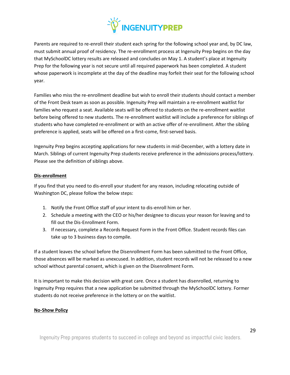

Parents are required to re-enroll their student each spring for the following school year and, by DC law, must submit annual proof of residency. The re-enrollment process at Ingenuity Prep begins on the day that MySchoolDC lottery results are released and concludes on May 1. A student's place at Ingenuity Prep for the following year is not secure until all required paperwork has been completed. A student whose paperwork is incomplete at the day of the deadline may forfeit their seat for the following school year.

Families who miss the re-enrollment deadline but wish to enroll their students should contact a member of the Front Desk team as soon as possible. Ingenuity Prep will maintain a re-enrollment waitlist for families who request a seat. Available seats will be offered to students on the re-enrollment waitlist before being offered to new students. The re-enrollment waitlist will include a preference for siblings of students who have completed re-enrollment or with an active offer of re-enrollment. After the sibling preference is applied, seats will be offered on a first-come, first-served basis.

Ingenuity Prep begins accepting applications for new students in mid-December, with a lottery date in March. Siblings of current Ingenuity Prep students receive preference in the admissions process/lottery. Please see the definition of siblings above.

# <span id="page-28-0"></span>**Dis-enrollment**

If you find that you need to dis-enroll your student for any reason, including relocating outside of Washington DC, please follow the below steps:

- 1. Notify the Front Office staff of your intent to dis-enroll him or her.
- 2. Schedule a meeting with the CEO or his/her designee to discuss your reason for leaving and to fill out the Dis-Enrollment Form.
- 3. If necessary, complete a Records Request Form in the Front Office. Student records files can take up to 3 business days to compile.

If a student leaves the school before the Disenrollment Form has been submitted to the Front Office, those absences will be marked as unexcused. In addition, student records will not be released to a new school without parental consent, which is given on the Disenrollment Form.

It is important to make this decision with great care. Once a student has disenrolled, returning to Ingenuity Prep requires that a new application be submitted through the MySchoolDC lottery. Former students do not receive preference in the lottery or on the waitlist.

# <span id="page-28-1"></span>**No-Show Policy**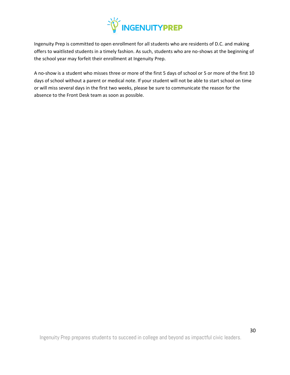

Ingenuity Prep is committed to open enrollment for all students who are residents of D.C. and making offers to waitlisted students in a timely fashion. As such, students who are no-shows at the beginning of the school year may forfeit their enrollment at Ingenuity Prep.

A no-show is a student who misses three or more of the first 5 days of school or 5 or more of the first 10 days of school without a parent or medical note. If your student will not be able to start school on time or will miss several days in the first two weeks, please be sure to communicate the reason for the absence to the Front Desk team as soon as possible.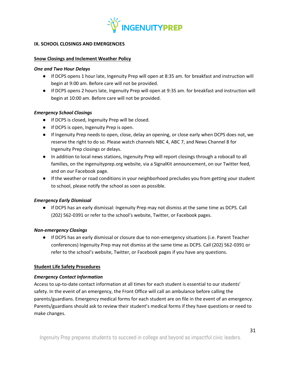

#### <span id="page-30-0"></span>**IX. SCHOOL CLOSINGS AND EMERGENCIES**

#### <span id="page-30-1"></span>**Snow Closings and Inclement Weather Policy**

#### *One and Two Hour Delays*

- If DCPS opens 1 hour late, Ingenuity Prep will open at 8:35 am. for breakfast and instruction will begin at 9:00 am. Before care will not be provided.
- If DCPS opens 2 hours late, Ingenuity Prep will open at 9:35 am. for breakfast and instruction will begin at 10:00 am. Before care will not be provided.

#### *Emergency School Closings*

- If DCPS is closed, Ingenuity Prep will be closed.
- If DCPS is open, Ingenuity Prep is open.
- If Ingenuity Prep needs to open, close, delay an opening, or close early when DCPS does not, we reserve the right to do so. Please watch channels NBC 4, ABC 7, and News Channel 8 for Ingenuity Prep closings or delays.
- In addition to local news stations, Ingenuity Prep will report closings through a robocall to all families, on the ingenuityprep.org website, via a SignalKit announcement, on our Twitter feed, and on our Facebook page.
- If the weather or road conditions in your neighborhood precludes you from getting your student to school, please notify the school as soon as possible.

# *Emergency Early Dismissal*

● If DCPS has an early dismissal: Ingenuity Prep may not dismiss at the same time as DCPS. Call (202) 562-0391 or refer to the school's website, Twitter, or Facebook pages.

#### *Non-emergency Closings*

● If DCPS has an early dismissal or closure due to non-emergency situations (i.e. Parent Teacher conferences) Ingenuity Prep may not dismiss at the same time as DCPS. Call (202) 562-0391 or refer to the school's website, Twitter, or Facebook pages if you have any questions.

# <span id="page-30-2"></span>**Student Life Safety Procedures**

# *Emergency Contact Information*

Access to up-to-date contact information at all times for each student is essential to our students' safety. In the event of an emergency, the Front Office will call an ambulance before calling the parents/guardians. Emergency medical forms for each student are on file in the event of an emergency. Parents/guardians should ask to review their student's medical forms if they have questions or need to make changes.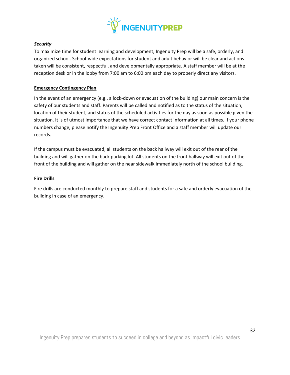

# *Security*

To maximize time for student learning and development, Ingenuity Prep will be a safe, orderly, and organized school. School-wide expectations for student and adult behavior will be clear and actions taken will be consistent, respectful, and developmentally appropriate. A staff member will be at the reception desk or in the lobby from 7:00 am to 6:00 pm each day to properly direct any visitors.

# <span id="page-31-0"></span>**Emergency Contingency Plan**

In the event of an emergency (e.g., a lock-down or evacuation of the building) our main concern is the safety of our students and staff. Parents will be called and notified as to the status of the situation, location of their student, and status of the scheduled activities for the day as soon as possible given the situation. It is of utmost importance that we have correct contact information at all times. If your phone numbers change, please notify the Ingenuity Prep Front Office and a staff member will update our records.

If the campus must be evacuated, all students on the back hallway will exit out of the rear of the building and will gather on the back parking lot. All students on the front hallway will exit out of the front of the building and will gather on the near sidewalk immediately north of the school building.

#### <span id="page-31-1"></span>**Fire Drills**

Fire drills are conducted monthly to prepare staff and students for a safe and orderly evacuation of the building in case of an emergency.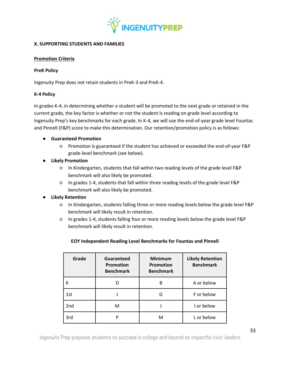

# <span id="page-32-0"></span>**X. SUPPORTING STUDENTS AND FAMILIES**

# <span id="page-32-1"></span>**Promotion Criteria**

#### **PreK Policy**

Ingenuity Prep does not retain students in PreK-3 and PreK-4.

# **K-4 Policy**

In grades K-4, in determining whether a student will be promoted to the next grade or retained in the current grade, the key factor is whether or not the student is reading on grade level according to Ingenuity Prep's key benchmarks for each grade. In K-4, we will use the end-of-year grade level Fountas and Pinnell (F&P) score to make this determination. Our retention/promotion policy is as follows:

# ● **Guaranteed Promotion**

- Promotion is guaranteed if the student has achieved or exceeded the end-of-year F&P grade-level benchmark (see below).
- **Likely Promotion**
	- In Kindergarten, students that fall within two reading levels of the grade level F&P benchmark will also likely be promoted.
	- In grades 1-4, students that fall within three reading levels of the grade level F&P benchmark will also likely be promoted.

# ● **Likely Retention**

- In Kindergarten, students falling three or more reading levels below the grade level F&P benchmark will likely result in retention.
- In grades 1-4, students falling four or more reading levels below the grade level F&P benchmark will likely result in retention.

| Grade | Guaranteed<br>Promotion<br><b>Benchmark</b> | <b>Minimum</b><br><b>Promotion</b><br><b>Benchmark</b> | <b>Likely Retention</b><br><b>Benchmark</b> |
|-------|---------------------------------------------|--------------------------------------------------------|---------------------------------------------|
| К     |                                             | В                                                      | A or below                                  |
| 1st   |                                             | G                                                      | F or below                                  |
| 2nd   | м                                           |                                                        | I or below                                  |
| 3rd   | D                                           | М                                                      | L or below                                  |

# **EOY Independent Reading Level Benchmarks for Fountas and Pinnell**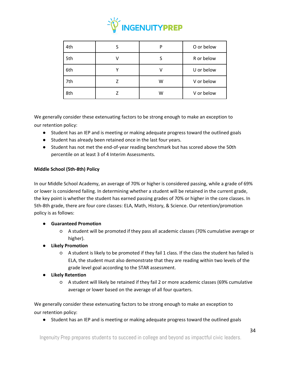

| 4th |   | P | O or below |
|-----|---|---|------------|
| 5th | ν |   | R or below |
| 6th |   |   | U or below |
| 7th |   | w | V or below |
| 8th |   | W | V or below |

We generally consider these extenuating factors to be strong enough to make an exception to our retention policy:

- Student has an IEP and is meeting or making adequate progress toward the outlined goals
- Student has already been retained once in the last four years.
- Student has not met the end-of-year reading benchmark but has scored above the 50th percentile on at least 3 of 4 Interim Assessments.

# **Middle School (5th-8th) Policy**

In our Middle School Academy, an average of 70% or higher is considered passing, while a grade of 69% or lower is considered failing. In determining whether a student will be retained in the current grade, the key point is whether the student has earned passing grades of 70% or higher in the core classes. In 5th-8th grade, there are four core classes: ELA, Math, History, & Science. Our retention/promotion policy is as follows:

- **Guaranteed Promotion**
	- A student will be promoted if they pass all academic classes (70% cumulative average or higher).
- **Likely Promotion**
	- A student is likely to be promoted if they fail 1 class. If the class the student has failed is ELA, the student must also demonstrate that they are reading within two levels of the grade level goal according to the STAR assessment.
- **Likely Retention**
	- A student will likely be retained if they fail 2 or more academic classes (69% cumulative average or lower based on the average of all four quarters.

We generally consider these extenuating factors to be strong enough to make an exception to our retention policy:

● Student has an IEP and is meeting or making adequate progress toward the outlined goals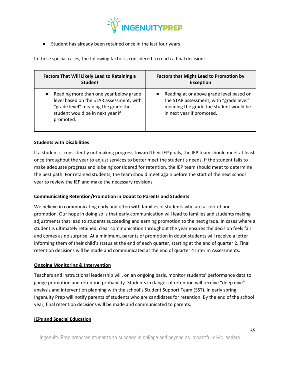

● Student has already been retained once in the last four years

In these special cases, the following factor is considered to reach a final decision:

| Factors That Will Likely Lead to Retaining a | <b>Factors that Might Lead to Promotion by</b> |
|----------------------------------------------|------------------------------------------------|
| <b>Student</b>                               | <b>Exception</b>                               |
| Reading more than one year below grade       | Reading at or above grade level based on       |
| level based on the STAR assessment, with     | $\bullet$                                      |
| "grade level" meaning the grade the          | the STAR assessment, with "grade level"        |
| student would be in next year if             | meaning the grade the student would be         |
| promoted.                                    | in next year if promoted.                      |

# <span id="page-34-0"></span>**Students with Disabilities**

If a student is consistently not making progress toward their IEP goals, the IEP team should meet at least once throughout the year to adjust services to better meet the student's needs. If the student fails to make adequate progress and is being considered for retention, the IEP team should meet to determine the best path. For retained students, the team should meet again before the start of the next school year to review the IEP and make the necessary revisions.

# <span id="page-34-1"></span>**Communicating Retention/Promotion in Doubt to Parents and Students**

We believe in communicating early and often with families of students who are at risk of nonpromotion. Our hope in doing so is that early communication will lead to families and students making adjustments that lead to students succeeding and earning promotion to the next grade. In cases where a student is ultimately retained, clear communication throughout the year ensures the decision feels fair and comes as no surprise. At a minimum, parents of promotion in doubt students will receive a letter informing them of their child's status at the end of each quarter, starting at the end of quarter 2. Final retention decisions will be made and communicated at the end of quarter 4 Interim Assessments.

# <span id="page-34-2"></span>**Ongoing Monitoring & Intervention**

Teachers and instructional leadership will, on an ongoing basis, monitor students' performance data to gauge promotion and retention probability. Students in danger of retention will receive "deep dive" analysis and intervention planning with the school's Student Support Team (SST). In early spring, Ingenuity Prep will notify parents of students who are candidates for retention. By the end of the school year, final retention decisions will be made and communicated to parents.

# <span id="page-34-3"></span>**IEPs and Special Education**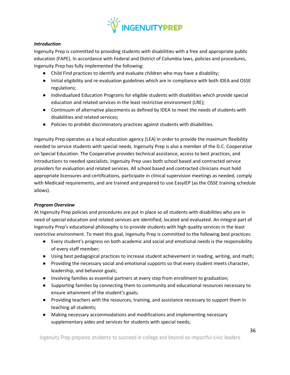

# *Introduction*

Ingenuity Prep is committed to providing students with disabilities with a free and appropriate public education (FAPE). In accordance with Federal and District of Columbia laws, policies and procedures, Ingenuity Prep has fully implemented the following:

- Child Find practices to identify and evaluate children who may have a disability;
- Initial eligibility and re-evaluation guidelines which are in compliance with both IDEA and OSSE regulations;
- Individualized Education Programs for eligible students with disabilities which provide special education and related services in the least restrictive environment (LRE);
- Continuum of alternative placements as defined by IDEA to meet the needs of students with disabilities and related services;
- Policies to prohibit discriminatory practices against students with disabilities.

Ingenuity Prep operates as a local education agency (LEA) in order to provide the maximum flexibility needed to service students with special needs. Ingenuity Prep is also a member of the D.C. Cooperative on Special Education. The Cooperative provides technical assistance, access to best practices, and introductions to needed specialists. Ingenuity Prep uses both school based and contracted service providers for evaluation and related services. All school based and contracted clinicians must hold appropriate licensures and certifications, participate in clinical supervision meetings as needed, comply with Medicaid requirements, and are trained and prepared to use EasyIEP (as the OSSE training schedule allows).

# *Program Overview*

At Ingenuity Prep policies and procedures are put in place so all students with disabilities who are in need of special education and related services are identified, located and evaluated. An integral part of Ingenuity Prep's educational philosophy is to provide students with high quality services in the least restrictive environment. To meet this goal, Ingenuity Prep is committed to the following best practices:

- Every student's progress on both academic and social and emotional needs is the responsibility of every staff member;
- Using best pedagogical practices to increase student achievement in reading, writing, and math;
- Providing the necessary social and emotional supports so that every student meets character, leadership, and behavior goals;
- Involving families as essential partners at every step from enrollment to graduation;
- Supporting families by connecting them to community and educational resources necessary to ensure attainment of the student's goals;
- Providing teachers with the resources, training, and assistance necessary to support them in teaching all students;
- Making necessary accommodations and modifications and implementing necessary supplementary aides and services for students with special needs;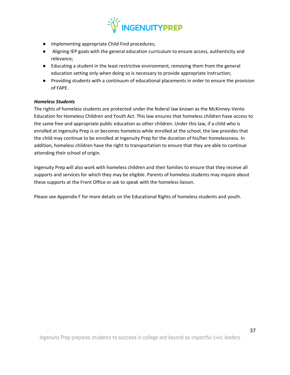

- Implementing appropriate Child Find procedures;
- Aligning IEP goals with the general education curriculum to ensure access, authenticity and relevance;
- Educating a student in the least restrictive environment, removing them from the general education setting only when doing so is necessary to provide appropriate instruction;
- Providing students with a continuum of educational placements in order to ensure the provision of FAPE.

## *Homeless Students*

The rights of homeless students are protected under the federal law known as the McKinney-Vento Education for Homeless Children and Youth Act. This law ensures that homeless children have access to the same free and appropriate public education as other children. Under this law, if a child who is enrolled at Ingenuity Prep is or becomes homeless while enrolled at the school, the law provides that the child may continue to be enrolled at Ingenuity Prep for the duration of his/her homelessness. In addition, homeless children have the right to transportation to ensure that they are able to continue attending their school of origin.

Ingenuity Prep will also work with homeless children and their families to ensure that they receive all supports and services for which they may be eligible. Parents of homeless students may inquire about these supports at the Front Office or ask to speak with the homeless liaison.

Please see Appendix F for more details on the Educational Rights of homeless students and youth.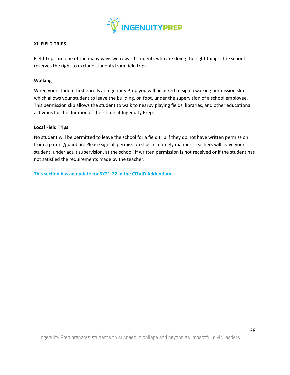

### **XI. FIELD TRIPS**

Field Trips are one of the many ways we reward students who are doing the right things. The school reserves the right to exclude students from field trips.

#### **Walking**

When your student first enrolls at Ingenuity Prep you will be asked to sign a walking permission slip which allows your student to leave the building, on foot, under the supervision of a school employee. This permission slip allows the student to walk to nearby playing fields, libraries, and other educational activities for the duration of their time at Ingenuity Prep.

### **Local Field Trips**

No student will be permitted to leave the school for a field trip if they do not have written permission from a parent/guardian. Please sign all permission slips in a timely manner. Teachers will leave your student, under adult supervision, at the school, if written permission is not received or if the student has not satisfied the requirements made by the teacher.

**This section has an update for SY21-22 in the COVID Addendum.**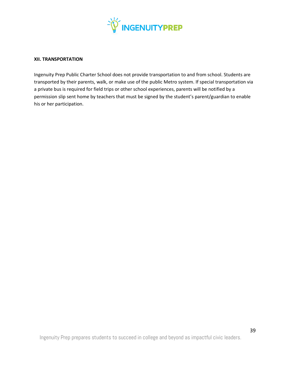

#### **XII. TRANSPORTATION**

Ingenuity Prep Public Charter School does not provide transportation to and from school. Students are transported by their parents, walk, or make use of the public Metro system. If special transportation via a private bus is required for field trips or other school experiences, parents will be notified by a permission slip sent home by teachers that must be signed by the student's parent/guardian to enable his or her participation.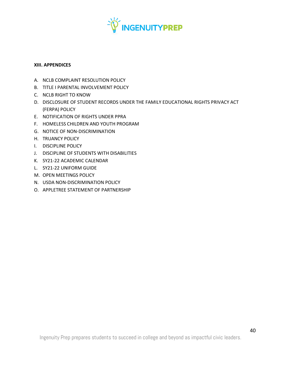

### **XIII. APPENDICES**

- A. NCLB COMPLAINT RESOLUTION POLICY
- B. TITLE I PARENTAL INVOLVEMENT POLICY
- C. NCLB RIGHT TO KNOW
- D. DISCLOSURE OF STUDENT RECORDS UNDER THE FAMILY EDUCATIONAL RIGHTS PRIVACY ACT (FERPA) POLICY
- E. NOTIFICATION OF RIGHTS UNDER PPRA
- F. HOMELESS CHILDREN AND YOUTH PROGRAM
- G. NOTICE OF NON-DISCRIMINATION
- H. TRUANCY POLICY
- I. DISCIPLINE POLICY
- J. DISCIPLINE OF STUDENTS WITH DISABILITIES
- K. SY21-22 ACADEMIC CALENDAR
- L. SY21-22 UNIFORM GUIDE
- M. OPEN MEETINGS POLICY
- N. USDA NON-DISCRIMINATION POLICY
- O. APPLETREE STATEMENT OF PARTNERSHIP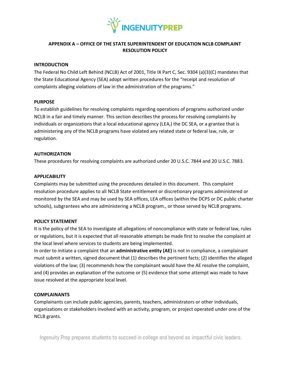

## **APPENDIX A – OFFICE OF THE STATE SUPERINTENDENT OF EDUCATION NCLB COMPLAINT RESOLUTION POLICY**

## **INTRODUCTION**

The Federal No Child Left Behind (NCLB) Act of 2001, Title IX Part C, Sec. 9304 (a)(3)(C) mandates that the State Educational Agency (SEA) adopt written procedures for the "receipt and resolution of complaints alleging violations of law in the administration of the programs."

## **PURPOSE**

To establish guidelines for resolving complaints regarding operations of programs authorized under NCLB in a fair and timely manner. This section describes the process for resolving complaints by individuals or organizations that a local educational agency (LEA,) the DC SEA, or a grantee that is administering any of the NCLB programs have violated any related state or federal law, rule, or regulation.

### **AUTHORIZATION**

These procedures for resolving complaints are authorized under 20 U.S.C. 7844 and 20 U.S.C. 7883.

## **APPLICABILITY**

Complaints may be submitted using the procedures detailed in this document. This complaint resolution procedure applies to all NCLB State entitlement or discretionary programs administered or monitored by the SEA and may be used by SEA offices, LEA offices (within the DCPS or DC public charter schools), subgrantees who are administering a NCLB program., or those served by NCLB programs.

## **POLICY STATEMENT**

It is the policy of the SEA to investigate all allegations of noncompliance with state or federal law, rules or regulations, but it is expected that all reasonable attempts be made first to resolve the complaint at the local level where services to students are being implemented.

In order to initiate a complaint that an **administrative entity (AE)** is not in compliance, a complainant must submit a written, signed document that (1) describes the pertinent facts; (2) identifies the alleged violations of the law; (3) recommends how the complainant would have the AE resolve the complaint, and (4) provides an explanation of the outcome or (5) evidence that some attempt was made to have issue resolved at the appropriate local level.

## **COMPLAINANTS**

Complainants can include public agencies, parents, teachers, administrators or other individuals, organizations or stakeholders involved with an activity, program, or project operated under one of the NCLB grants.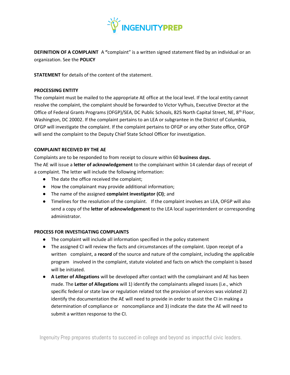

**DEFINITION OF A COMPLAINT** A "complaint" is a written signed statement filed by an individual or an organization. See the **POLICY**

**STATEMENT** for details of the content of the statement.

## **PROCESSING ENTITY**

The complaint must be mailed to the appropriate AE office at the local level. If the local entity cannot resolve the complaint, the complaint should be forwarded to Victor Vyfhuis, Executive Director at the Office of Federal Grants Programs (OFGP)/SEA, DC Public Schools, 825 North Capital Street, NE, 8th Floor, Washington, DC 20002. If the complaint pertains to an LEA or subgrantee in the District of Columbia, OFGP will investigate the complaint. If the complaint pertains to OFGP or any other State office, OFGP will send the complaint to the Deputy Chief State School Officer for investigation.

## **COMPLAINT RECEIVED BY THE AE**

Complaints are to be responded to from receipt to closure within 60 **business days.** The AE will issue a **letter of acknowledgement** to the complainant within 14 calendar days of receipt of a complaint. The letter will include the following information:

- The date the office received the complaint;
- How the complainant may provide additional information;
- The name of the assigned **complaint investigator (CI)**; and
- Timelines for the resolution of the complaint. If the complaint involves an LEA, OFGP will also send a copy of the **letter of acknowledgement** to the LEA local superintendent or corresponding administrator.

## **PROCESS FOR INVESTIGATING COMPLAINTS**

- The complaint will include all information specified in the policy statement
- The assigned CI will review the facts and circumstances of the complaint. Upon receipt of a written complaint, a **record** of the source and nature of the complaint, including the applicable program involved in the complaint, statute violated and facts on which the complaint is based will be initiated.
- **A Letter of Allegations** will be developed after contact with the complainant and AE has been made. The **Letter of Allegations** will 1) identify the complainants alleged issues (i.e., which specific federal or state law or regulation related tot the provision of services was violated 2) identify the documentation the AE will need to provide in order to assist the CI in making a determination of compliance or noncompliance and 3) indicate the date the AE will need to submit a written response to the CI.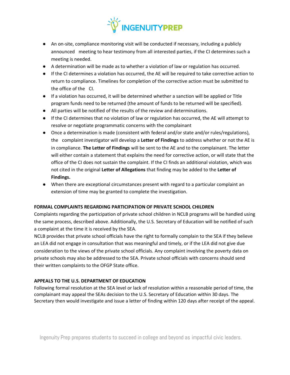

- An on-site, compliance monitoring visit will be conducted if necessary, including a publicly announced meeting to hear testimony from all interested parties, if the CI determines such a meeting is needed.
- A determination will be made as to whether a violation of law or regulation has occurred.
- If the CI determines a violation has occurred, the AE will be required to take corrective action to return to compliance. Timelines for completion of the corrective action must be submitted to the office of the CI.
- If a violation has occurred, it will be determined whether a sanction will be applied or Title program funds need to be returned (the amount of funds to be returned will be specified).
- All parties will be notified of the results of the review and determinations.
- If the CI determines that no violation of law or regulation has occurred, the AE will attempt to resolve or negotiate programmatic concerns with the complainant
- Once a determination is made (consistent with federal and/or state and/or rules/regulations), the complaint investigator will develop a **Letter of Findings** to address whether or not the AE is in compliance. **The Letter of Findings** will be sent to the AE and to the complainant. The letter will either contain a statement that explains the need for corrective action, or will state that the office of the CI does not sustain the complaint. If the CI finds an additional violation, which was not cited in the original **Letter of Allegations** that finding may be added to the **Letter of Findings.**
- When there are exceptional circumstances present with regard to a particular complaint an extension of time may be granted to complete the investigation.

## **FORMAL COMPLAINTS REGARDING PARTICIPATION OF PRIVATE SCHOOL CHILDREN**

Complaints regarding the participation of private school children in NCLB programs will be handled using the same process, described above. Additionally, the U.S. Secretary of Education will be notified of such a complaint at the time it is received by the SEA.

NCLB provides that private school officials have the right to formally complain to the SEA if they believe an LEA did not engage in consultation that was meaningful and timely, or if the LEA did not give due consideration to the views of the private school officials. Any complaint involving the poverty data on private schools may also be addressed to the SEA. Private school officials with concerns should send their written complaints to the OFGP State office.

## **APPEALS TO THE U.S. DEPARTMENT OF EDUCATION**

Following formal resolution at the SEA level or lack of resolution within a reasonable period of time, the complainant may appeal the SEAs decision to the U.S. Secretary of Education within 30 days. The Secretary then would investigate and issue a letter of finding within 120 days after receipt of the appeal.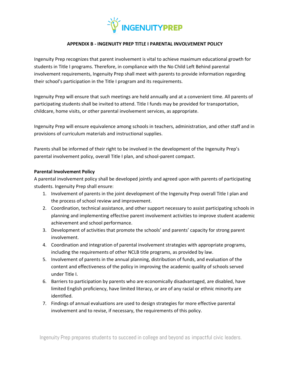

## **APPENDIX B - INGENUITY PREP TITLE I PARENTAL INVOLVEMENT POLICY**

Ingenuity Prep recognizes that parent involvement is vital to achieve maximum educational growth for students in Title I programs. Therefore, in compliance with the No Child Left Behind parental involvement requirements, Ingenuity Prep shall meet with parents to provide information regarding their school's participation in the Title I program and its requirements.

Ingenuity Prep will ensure that such meetings are held annually and at a convenient time. All parents of participating students shall be invited to attend. Title I funds may be provided for transportation, childcare, home visits, or other parental involvement services, as appropriate.

Ingenuity Prep will ensure equivalence among schools in teachers, administration, and other staff and in provisions of curriculum materials and instructional supplies.

Parents shall be informed of their right to be involved in the development of the Ingenuity Prep's parental involvement policy, overall Title I plan, and school-parent compact.

## **Parental Involvement Policy**

A parental involvement policy shall be developed jointly and agreed upon with parents of participating students. Ingenuity Prep shall ensure:

- 1. Involvement of parents in the joint development of the Ingenuity Prep overall Title I plan and the process of school review and improvement.
- 2. Coordination, technical assistance, and other support necessary to assist participating schools in planning and implementing effective parent involvement activities to improve student academic achievement and school performance.
- 3. Development of activities that promote the schools' and parents' capacity for strong parent involvement.
- 4. Coordination and integration of parental involvement strategies with appropriate programs, including the requirements of other NCLB title programs, as provided by law.
- 5. Involvement of parents in the annual planning, distribution of funds, and evaluation of the content and effectiveness of the policy in improving the academic quality of schools served under Title I.
- 6. Barriers to participation by parents who are economically disadvantaged, are disabled, have limited English proficiency, have limited literacy, or are of any racial or ethnic minority are identified.
- 7. Findings of annual evaluations are used to design strategies for more effective parental involvement and to revise, if necessary, the requirements of this policy.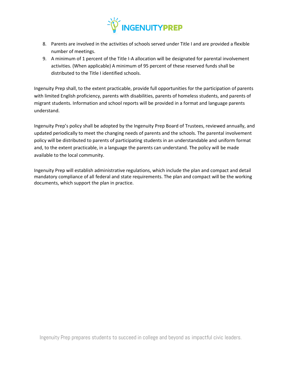

- 8. Parents are involved in the activities of schools served under Title I and are provided a flexible number of meetings.
- 9. A minimum of 1 percent of the Title I-A allocation will be designated for parental involvement activities. (When applicable) A minimum of 95 percent of these reserved funds shall be distributed to the Title I identified schools.

Ingenuity Prep shall, to the extent practicable, provide full opportunities for the participation of parents with limited English proficiency, parents with disabilities, parents of homeless students, and parents of migrant students. Information and school reports will be provided in a format and language parents understand.

Ingenuity Prep's policy shall be adopted by the Ingenuity Prep Board of Trustees, reviewed annually, and updated periodically to meet the changing needs of parents and the schools. The parental involvement policy will be distributed to parents of participating students in an understandable and uniform format and, to the extent practicable, in a language the parents can understand. The policy will be made available to the local community.

Ingenuity Prep will establish administrative regulations, which include the plan and compact and detail mandatory compliance of all federal and state requirements. The plan and compact will be the working documents, which support the plan in practice.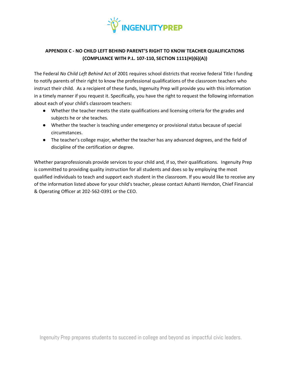

# **APPENDIX C - NO CHILD LEFT BEHIND PARENT'S RIGHT TO KNOW TEACHER QUALIFICATIONS (COMPLIANCE WITH P.L. 107-110, SECTION 1111(H)(6)(A))**

The Federal *No Child Left Behind* Act of 2001 requires school districts that receive federal Title I funding to notify parents of their right to know the professional qualifications of the classroom teachers who instruct their child. As a recipient of these funds, Ingenuity Prep will provide you with this information in a timely manner if you request it. Specifically, you have the right to request the following information about each of your child's classroom teachers:

- Whether the teacher meets the state qualifications and licensing criteria for the grades and subjects he or she teaches.
- Whether the teacher is teaching under emergency or provisional status because of special circumstances.
- The teacher's college major, whether the teacher has any advanced degrees, and the field of discipline of the certification or degree.

Whether paraprofessionals provide services to your child and, if so, their qualifications. Ingenuity Prep is committed to providing quality instruction for all students and does so by employing the most qualified individuals to teach and support each student in the classroom. If you would like to receive any of the information listed above for your child's teacher, please contact Ashanti Herndon, Chief Financial & Operating Officer at 202-562-0391 or the CEO.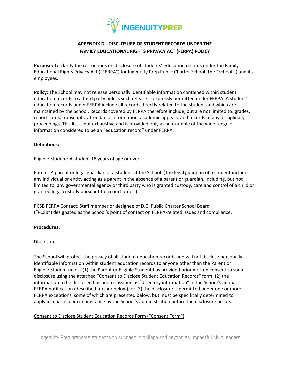

# **APPENDIX D - DISCLOSURE OF STUDENT RECORDS UNDER THE FAMILY EDUCATIONAL RIGHTS PRIVACY ACT (FERPA) POLICY**

**Purpose:** To clarify the restrictions on disclosure of students' education records under the Family Educational Rights Privacy Act ("FERPA") for Ingenuity Prep Public Charter School (the "School:") and its employees.

**Policy:** The School may not release personally identifiable information contained within student education records to a third party unless such release is expressly permitted under FERPA. A student's education records under FERPA include all records directly related to the student and which are maintained by the School. Records covered by FERPA therefore include, but are not limited to: grades, report cards, transcripts, attendance information, academic appeals, and records of any disciplinary proceedings. This list is not exhaustive and is provided only as an example of the wide range of information considered to be an "education record" under FERPA.

## **Definitions:**

Eligible Student: A student 18 years of age or over.

Parent: A parent or legal guardian of a student at the School. (The legal guardian of a student includes any individual or entity acting as a parent in the absence of a parent or guardian, including, but not limited to, any governmental agency or third party who is granted custody, care and control of a child or granted legal custody pursuant to a court order.)

PCSB FERPA Contact: Staff member or designee of D.C. Public Charter School Board ("PCSB") designated as the School's point of contact on FERPA-related issues and compliance.

## **Procedures:**

## **Disclosure**

The School will protect the privacy of all student education records and will not disclose personally identifiable information within student education records to anyone other than the Parent or Eligible Student unless (1) the Parent or Eligible Student has provided prior written consent to such disclosure using the attached "Consent to Disclose Student Education Records" form; (2) the information to be disclosed has been classified as "directory information" in the School's annual FERPA notification (described further below); or (3) the disclosure is permitted under one or more FERPA exceptions, some of which are presented below, but must be specifically determined to apply in a particular circumstance by the School's administration before the disclosure occurs.

## Consent to Disclose Student Education Records Form ("Consent Form")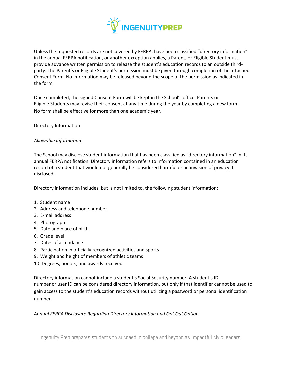

Unless the requested records are not covered by FERPA, have been classified "directory information" in the annual FERPA notification, or another exception applies, a Parent, or Eligible Student must provide advance written permission to release the student's education records to an outside thirdparty. The Parent's or Eligible Student's permission must be given through completion of the attached Consent Form. No information may be released beyond the scope of the permission as indicated in the form.

Once completed, the signed Consent Form will be kept in the School's office. Parents or Eligible Students may revise their consent at any time during the year by completing a new form. No form shall be effective for more than one academic year.

### Directory Information

## *Allowable Information*

The School may disclose student information that has been classified as "directory information" in its annual FERPA notification. Directory information refers to information contained in an education record of a student that would not generally be considered harmful or an invasion of privacy if disclosed.

Directory information includes, but is not limited to, the following student information:

- 1. Student name
- 2. Address and telephone number
- 3. E-mail address
- 4. Photograph
- 5. Date and place of birth
- 6. Grade level
- 7. Dates of attendance
- 8. Participation in officially recognized activities and sports
- 9. Weight and height of members of athletic teams
- 10. Degrees, honors, and awards received

Directory information cannot include a student's Social Security number. A student's ID number or user ID can be considered directory information, but only if that identifier cannot be used to gain access to the student's education records without utilizing a password or personal identification number.

## *Annual FERPA Disclosure Regarding Directory Information and Opt Out Option*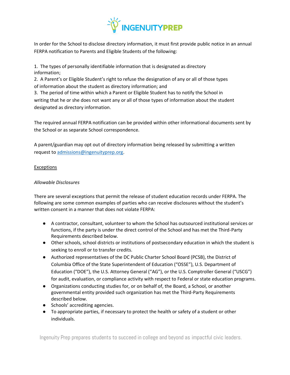

In order for the School to disclose directory information, it must first provide public notice in an annual FERPA notification to Parents and Eligible Students of the following:

1. The types of personally identifiable information that is designated as directory information;

2. A Parent's or Eligible Student's right to refuse the designation of any or all of those types of information about the student as directory information; and

3. The period of time within which a Parent or Eligible Student has to notify the School in writing that he or she does not want any or all of those types of information about the student designated as directory information.

The required annual FERPA notification can be provided within other informational documents sent by the School or as separate School correspondence.

A parent/guardian may opt out of directory information being released by submitting a written request to [admissions@ingenuityprep.org.](mailto:admissions@ingenuityprep.org)

# Exceptions

# *Allowable Disclosures*

There are several exceptions that permit the release of student education records under FERPA. The following are some common examples of parties who can receive disclosures without the student's written consent in a manner that does not violate FERPA:

- A contractor, consultant, volunteer to whom the School has outsourced institutional services or functions, if the party is under the direct control of the School and has met the Third-Party Requirements described below.
- Other schools, school districts or institutions of postsecondary education in which the student is seeking to enroll or to transfer credits.
- Authorized representatives of the DC Public Charter School Board (PCSB), the District of Columbia Office of the State Superintendent of Education ("OSSE"), U.S. Department of Education ("DOE"), the U.S. Attorney General ("AG"), or the U.S. Comptroller General ("USCG") for audit, evaluation, or compliance activity with respect to Federal or state education programs.
- Organizations conducting studies for, or on behalf of, the Board, a School, or another governmental entity provided such organization has met the Third-Party Requirements described below.
- Schools' accrediting agencies.
- To appropriate parties, if necessary to protect the health or safety of a student or other individuals.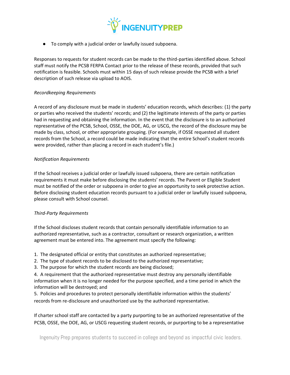

● To comply with a judicial order or lawfully issued subpoena.

Responses to requests for student records can be made to the third-parties identified above. School staff must notify the PCSB FERPA Contact prior to the release of these records, provided that such notification is feasible. Schools must within 15 days of such release provide the PCSB with a brief description of such release via upload to AOIS.

### *Recordkeeping Requirements*

A record of any disclosure must be made in students' education records, which describes: (1) the party or parties who received the students' records; and (2) the legitimate interests of the party or parties had in requesting and obtaining the information. In the event that the disclosure is to an authorized representative of the PCSB, School, OSSE, the DOE, AG, or USCG, the record of the disclosure may be made by class, school, or other appropriate grouping. (For example, if OSSE requested all student records from the School, a record could be made indicating that the entire School's student records were provided, rather than placing a record in each student's file.)

### *Notification Requirements*

If the School receives a judicial order or lawfully issued subpoena, there are certain notification requirements it must make before disclosing the students' records. The Parent or Eligible Student must be notified of the order or subpoena in order to give an opportunity to seek protective action. Before disclosing student education records pursuant to a judicial order or lawfully issued subpoena, please consult with School counsel.

## *Third-Party Requirements*

If the School discloses student records that contain personally identifiable information to an authorized representative, such as a contractor, consultant or research organization, a written agreement must be entered into. The agreement must specify the following:

1. The designated official or entity that constitutes an authorized representative;

- 2. The type of student records to be disclosed to the authorized representative;
- 3. The purpose for which the student records are being disclosed;

4. A requirement that the authorized representative must destroy any personally identifiable information when it is no longer needed for the purpose specified, and a time period in which the information will be destroyed; and

5. Policies and procedures to protect personally identifiable information within the students' records from re-disclosure and unauthorized use by the authorized representative.

If charter school staff are contacted by a party purporting to be an authorized representative of the PCSB, OSSE, the DOE, AG, or USCG requesting student records, or purporting to be a representative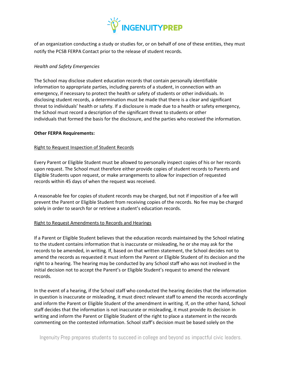

of an organization conducting a study or studies for, or on behalf of one of these entities, they must notify the PCSB FERPA Contact prior to the release of student records.

## *Health and Safety Emergencies*

The School may disclose student education records that contain personally identifiable information to appropriate parties, including parents of a student, in connection with an emergency, if necessary to protect the health or safety of students or other individuals. In disclosing student records, a determination must be made that there is a clear and significant threat to individuals' health or safety. If a disclosure is made due to a health or safety emergency, the School must record a description of the significant threat to students or other individuals that formed the basis for the disclosure, and the parties who received the information.

### **Other FERPA Requirements:**

## Right to Request Inspection of Student Records

Every Parent or Eligible Student must be allowed to personally inspect copies of his or her records upon request. The School must therefore either provide copies of student records to Parents and Eligible Students upon request, or make arrangements to allow for inspection of requested records within 45 days of when the request was received.

A reasonable fee for copies of student records may be charged, but not if imposition of a fee will prevent the Parent or Eligible Student from receiving copies of the records. No fee may be charged solely in order to search for or retrieve a student's education records.

## Right to Request Amendments to Records and Hearings

If a Parent or Eligible Student believes that the education records maintained by the School relating to the student contains information that is inaccurate or misleading, he or she may ask for the records to be amended, in writing. If, based on that written statement, the School decides not to amend the records as requested it must inform the Parent or Eligible Student of its decision and the right to a hearing. The hearing may be conducted by any School staff who was not involved in the initial decision not to accept the Parent's or Eligible Student's request to amend the relevant records.

In the event of a hearing, if the School staff who conducted the hearing decides that the information in question is inaccurate or misleading, it must direct relevant staff to amend the records accordingly and inform the Parent or Eligible Student of the amendment in writing. If, on the other hand, School staff decides that the information is not inaccurate or misleading, it must provide its decision in writing and inform the Parent or Eligible Student of the right to place a statement in the records commenting on the contested information. School staff's decision must be based solely on the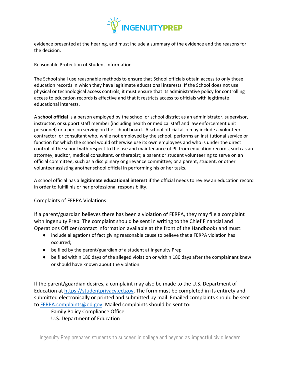

evidence presented at the hearing, and must include a summary of the evidence and the reasons for the decision.

## Reasonable Protection of Student Information

The School shall use reasonable methods to ensure that School officials obtain access to only those education records in which they have legitimate educational interests. If the School does not use physical or technological access controls, it must ensure that its administrative policy for controlling access to education records is effective and that it restricts access to officials with legitimate educational interests.

A **school official** is a person employed by the school or school district as an administrator, supervisor, instructor, or support staff member (including health or medical staff and law enforcement unit personnel) or a person serving on the school board. A school official also may include a volunteer, contractor, or consultant who, while not employed by the school, performs an institutional service or function for which the school would otherwise use its own employees and who is under the direct control of the school with respect to the use and maintenance of PII from education records, such as an attorney, auditor, medical consultant, or therapist; a parent or student volunteering to serve on an official committee, such as a disciplinary or grievance committee; or a parent, student, or other volunteer assisting another school official in performing his or her tasks.

A school official has a **legitimate educational interest** if the official needs to review an education record in order to fulfill his or her professional responsibility.

## Complaints of FERPA Violations

If a parent/guardian believes there has been a violation of FERPA, they may file a complaint with Ingenuity Prep. The complaint should be sent in writing to the Chief Financial and Operations Officer (contact information available at the front of the Handbook) and must:

- include allegations of fact giving reasonable cause to believe that a FERPA violation has occurred;
- be filed by the parent/guardian of a student at Ingenuity Prep
- be filed within 180 days of the alleged violation or within 180 days after the complainant knew or should have known about the violation.

If the parent/guardian desires, a complaint may also be made to the U.S. Department of Education at [https://studentprivacy.ed.gov.](https://studentprivacy.ed.gov/) The form must be completed in its entirety and submitted electronically or printed and submitted by mail. Emailed complaints should be sent to [FERPA.complaints@ed.gov.](mailto:FERPA.complaints@ed.gov) Mailed complaints should be sent to:

Family Policy Compliance Office

U.S. Department of Education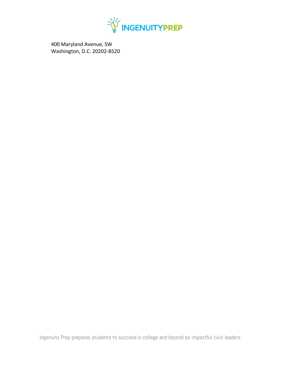

400 Maryland Avenue, SW Washington, D.C. 20202-8520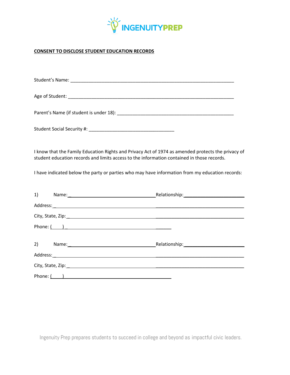

# **CONSENT TO DISCLOSE STUDENT EDUCATION RECORDS**

| I know that the Family Education Rights and Privacy Act of 1974 as amended protects the privacy of<br>student education records and limits access to the information contained in those records. |
|--------------------------------------------------------------------------------------------------------------------------------------------------------------------------------------------------|
| I have indicated below the party or parties who may have information from my education records:                                                                                                  |
| 1) Name: Name: Name: Name: Nelationship: Nelationship: Name: Name: Nelationship: Name: Name of Name of Name of N                                                                                 |
|                                                                                                                                                                                                  |
|                                                                                                                                                                                                  |
|                                                                                                                                                                                                  |
| 2) Name: Name: Name: Name and Alliance Melationship: Nelationship: Name and Alliance Melationship: Name and Alliance Melationship:                                                               |
|                                                                                                                                                                                                  |
|                                                                                                                                                                                                  |
|                                                                                                                                                                                                  |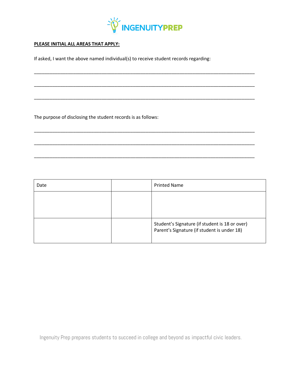

\_\_\_\_\_\_\_\_\_\_\_\_\_\_\_\_\_\_\_\_\_\_\_\_\_\_\_\_\_\_\_\_\_\_\_\_\_\_\_\_\_\_\_\_\_\_\_\_\_\_\_\_\_\_\_\_\_\_\_\_\_\_\_\_\_\_\_\_\_\_\_\_\_\_\_\_\_\_\_\_\_\_\_\_\_

\_\_\_\_\_\_\_\_\_\_\_\_\_\_\_\_\_\_\_\_\_\_\_\_\_\_\_\_\_\_\_\_\_\_\_\_\_\_\_\_\_\_\_\_\_\_\_\_\_\_\_\_\_\_\_\_\_\_\_\_\_\_\_\_\_\_\_\_\_\_\_\_\_\_\_\_\_\_\_\_\_\_\_\_\_

\_\_\_\_\_\_\_\_\_\_\_\_\_\_\_\_\_\_\_\_\_\_\_\_\_\_\_\_\_\_\_\_\_\_\_\_\_\_\_\_\_\_\_\_\_\_\_\_\_\_\_\_\_\_\_\_\_\_\_\_\_\_\_\_\_\_\_\_\_\_\_\_\_\_\_\_\_\_\_\_\_\_\_\_\_

\_\_\_\_\_\_\_\_\_\_\_\_\_\_\_\_\_\_\_\_\_\_\_\_\_\_\_\_\_\_\_\_\_\_\_\_\_\_\_\_\_\_\_\_\_\_\_\_\_\_\_\_\_\_\_\_\_\_\_\_\_\_\_\_\_\_\_\_\_\_\_\_\_\_\_\_\_\_\_\_\_\_\_\_\_

\_\_\_\_\_\_\_\_\_\_\_\_\_\_\_\_\_\_\_\_\_\_\_\_\_\_\_\_\_\_\_\_\_\_\_\_\_\_\_\_\_\_\_\_\_\_\_\_\_\_\_\_\_\_\_\_\_\_\_\_\_\_\_\_\_\_\_\_\_\_\_\_\_\_\_\_\_\_\_\_\_\_\_\_\_

\_\_\_\_\_\_\_\_\_\_\_\_\_\_\_\_\_\_\_\_\_\_\_\_\_\_\_\_\_\_\_\_\_\_\_\_\_\_\_\_\_\_\_\_\_\_\_\_\_\_\_\_\_\_\_\_\_\_\_\_\_\_\_\_\_\_\_\_\_\_\_\_\_\_\_\_\_\_\_\_\_\_\_\_\_

## **PLEASE INITIAL ALL AREAS THAT APPLY:**

If asked, I want the above named individual(s) to receive student records regarding:

The purpose of disclosing the student records is as follows:

| Date | <b>Printed Name</b>                                                                           |
|------|-----------------------------------------------------------------------------------------------|
|      |                                                                                               |
|      |                                                                                               |
|      | Student's Signature (if student is 18 or over)<br>Parent's Signature (if student is under 18) |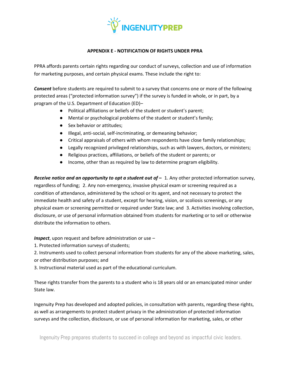

## **APPENDIX E - NOTIFICATION OF RIGHTS UNDER PPRA**

PPRA affords parents certain rights regarding our conduct of surveys, collection and use of information for marketing purposes, and certain physical exams. These include the right to:

*Consent* before students are required to submit to a survey that concerns one or more of the following protected areas ("protected information survey") if the survey is funded in whole, or in part, by a program of the U.S. Department of Education (ED)–

- Political affiliations or beliefs of the student or student's parent;
- Mental or psychological problems of the student or student's family;
- Sex behavior or attitudes;
- Illegal, anti-social, self-incriminating, or demeaning behavior;
- Critical appraisals of others with whom respondents have close family relationships;
- Legally recognized privileged relationships, such as with lawyers, doctors, or ministers;
- Religious practices, affiliations, or beliefs of the student or parents; or
- Income, other than as required by law to determine program eligibility.

*Receive notice and an opportunity to opt a student out*  $of - 1$ *. Any other protected information survey,* regardless of funding; 2. Any non-emergency, invasive physical exam or screening required as a condition of attendance, administered by the school or its agent, and not necessary to protect the immediate health and safety of a student, except for hearing, vision, or scoliosis screenings, or any physical exam or screening permitted or required under State law; and 3. Activities involving collection, disclosure, or use of personal information obtained from students for marketing or to sell or otherwise distribute the information to others.

*Inspect*, upon request and before administration or use –

- 1. Protected information surveys of students;
- 2. Instruments used to collect personal information from students for any of the above marketing, sales, or other distribution purposes; and
- 3. Instructional material used as part of the educational curriculum.

These rights transfer from the parents to a student who is 18 years old or an emancipated minor under State law.

Ingenuity Prep has developed and adopted policies, in consultation with parents, regarding these rights, as well as arrangements to protect student privacy in the administration of protected information surveys and the collection, disclosure, or use of personal information for marketing, sales, or other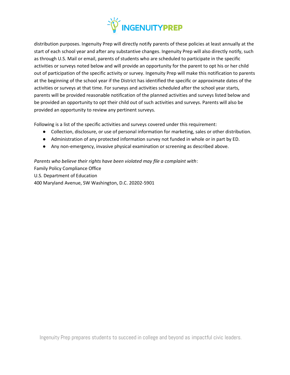

distribution purposes. Ingenuity Prep will directly notify parents of these policies at least annually at the start of each school year and after any substantive changes. Ingenuity Prep will also directly notify, such as through U.S. Mail or email, parents of students who are scheduled to participate in the specific activities or surveys noted below and will provide an opportunity for the parent to opt his or her child out of participation of the specific activity or survey. Ingenuity Prep will make this notification to parents at the beginning of the school year if the District has identified the specific or approximate dates of the activities or surveys at that time. For surveys and activities scheduled after the school year starts, parents will be provided reasonable notification of the planned activities and surveys listed below and be provided an opportunity to opt their child out of such activities and surveys. Parents will also be provided an opportunity to review any pertinent surveys.

Following is a list of the specific activities and surveys covered under this requirement:

- Collection, disclosure, or use of personal information for marketing, sales or other distribution.
- Administration of any protected information survey not funded in whole or in part by ED.
- Any non-emergency, invasive physical examination or screening as described above.

*Parents who believe their rights have been violated may file a complaint with*: Family Policy Compliance Office U.S. Department of Education 400 Maryland Avenue, SW Washington, D.C. 20202-5901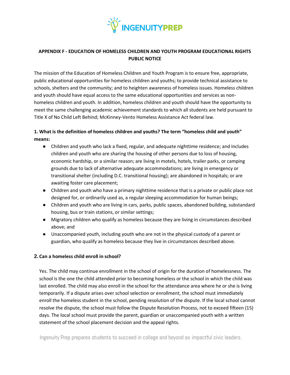

# **APPENDIX F - EDUCATION OF HOMELESS CHILDREN AND YOUTH PROGRAM EDUCATIONAL RIGHTS PUBLIC NOTICE**

The mission of the Education of Homeless Children and Youth Program is to ensure free, appropriate, public educational opportunities for homeless children and youths; to provide technical assistance to schools, shelters and the community; and to heighten awareness of homeless issues. Homeless children and youth should have equal access to the same educational opportunities and services as nonhomeless children and youth. In addition, homeless children and youth should have the opportunity to meet the same challenging academic achievement standards to which all students are held pursuant to Title X of No Child Left Behind; McKinney-Vento Homeless Assistance Act federal law.

# **1. What is the definition of homeless children and youths? The term "homeless child and youth" means:**

- Children and youth who lack a fixed, regular, and adequate nighttime residence; and includes children and youth who are sharing the housing of other persons due to loss of housing, economic hardship, or a similar reason; are living in motels, hotels, trailer parks, or camping grounds due to lack of alternative adequate accommodations; are living in emergency or transitional shelter (including D.C. transitional housing); are abandoned in hospitals; or are awaiting foster care placement;
- Children and youth who have a primary nighttime residence that is a private or public place not designed for, or ordinarily used as, a regular sleeping accommodation for human beings;
- Children and youth who are living in cars, parks, public spaces, abandoned building, substandard housing, bus or train stations, or similar settings;
- Migratory children who qualify as homeless because they are living in circumstances described above; and
- Unaccompanied youth, including youth who are not in the physical custody of a parent or guardian, who qualify as homeless because they live in circumstances described above.

## **2. Can a homeless child enroll in school?**

Yes. The child may continue enrollment in the school of origin for the duration of homelessness. The school is the one the child attended prior to becoming homeless or the school in which the child was last enrolled. The child may also enroll in the school for the attendance area where he or she is living temporarily. If a dispute arises over school selection or enrollment, the school must immediately enroll the homeless student in the school, pending resolution of the dispute. If the local school cannot resolve the dispute, the school must follow the Dispute Resolution Process, not to exceed fifteen (15) days. The local school must provide the parent, guardian or unaccompanied youth with a written statement of the school placement decision and the appeal rights.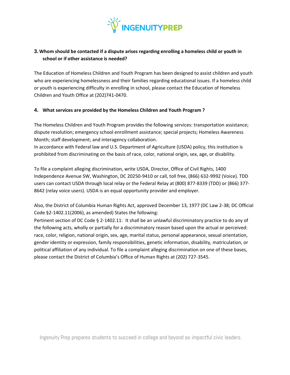

# **3. Whom should be contacted if a dispute arises regarding enrolling a homeless child or youth in school or if other assistance is needed?**

The Education of Homeless Children and Youth Program has been designed to assist children and youth who are experiencing homelessness and their families regarding educational issues. If a homeless child or youth is experiencing difficulty in enrolling in school, please contact the Education of Homeless Children and Youth Office at (202)741-0470.

## **4. What services are provided by the Homeless Children and Youth Program ?**

The Homeless Children and Youth Program provides the following services: transportation assistance; dispute resolution; emergency school enrollment assistance; special projects; Homeless Awareness Month; staff development; and interagency collaboration.

In accordance with Federal law and U.S. Department of Agriculture (USDA) policy, this institution is prohibited from discriminating on the basis of race, color, national origin, sex, age, or disability.

To file a complaint alleging discrimination, write USDA, Director, Office of Civil Rights, 1400 Independence Avenue SW, Washington, DC 20250-9410 or call, toll free, (866) 632-9992 (Voice). TDD users can contact USDA through local relay or the Federal Relay at (800) 877-8339 (TDD) or (866) 377- 8642 (relay voice users). USDA is an equal opportunity provider and employer.

Also, the District of Columbia Human Rights Act, approved December 13, 1977 (DC Law 2-38; DC Official Code §2-1402.11(2006), as amended) States the following:

Pertinent section of DC Code § 2-1402.11: It shall be an unlawful discriminatory practice to do any of the following acts, wholly or partially for a discriminatory reason based upon the actual or perceived: race, color, religion, national origin, sex, age, marital status, personal appearance, sexual orientation, gender identity or expression, family responsibilities, genetic information, disability, matriculation, or political affiliation of any individual. To file a complaint alleging discrimination on one of these bases, please contact the District of Columbia's Office of Human Rights at (202) 727-3545.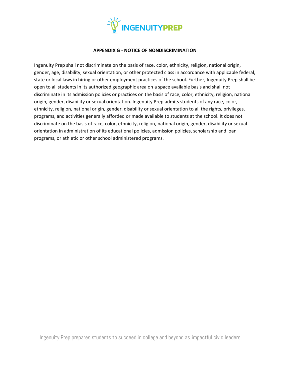

### **APPENDIX G - NOTICE OF NONDISCRIMINATION**

Ingenuity Prep shall not discriminate on the basis of race, color, ethnicity, religion, national origin, gender, age, disability, sexual orientation, or other protected class in accordance with applicable federal, state or local laws in hiring or other employment practices of the school. Further, Ingenuity Prep shall be open to all students in its authorized geographic area on a space available basis and shall not discriminate in its admission policies or practices on the basis of race, color, ethnicity, religion, national origin, gender, disability or sexual orientation. Ingenuity Prep admits students of any race, color, ethnicity, religion, national origin, gender, disability or sexual orientation to all the rights, privileges, programs, and activities generally afforded or made available to students at the school. It does not discriminate on the basis of race, color, ethnicity, religion, national origin, gender, disability or sexual orientation in administration of its educational policies, admission policies, scholarship and loan programs, or athletic or other school administered programs.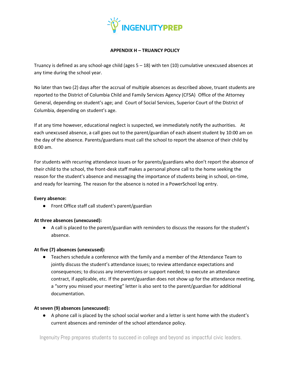

## **APPENDIX H – TRUANCY POLICY**

Truancy is defined as any school-age child (ages 5 – 18) with ten (10) cumulative unexcused absences at any time during the school year.

No later than two (2) days after the accrual of multiple absences as described above, truant students are reported to the District of Columbia Child and Family Services Agency (CFSA) Office of the Attorney General, depending on student's age; and Court of Social Services, Superior Court of the District of Columbia, depending on student's age.

If at any time however, educational neglect is suspected, we immediately notify the authorities. At each unexcused absence, a call goes out to the parent/guardian of each absent student by 10:00 am on the day of the absence. Parents/guardians must call the school to report the absence of their child by 8:00 am.

For students with recurring attendance issues or for parents/guardians who don't report the absence of their child to the school, the front-desk staff makes a personal phone call to the home seeking the reason for the student's absence and messaging the importance of students being in school, on-time, and ready for learning. The reason for the absence is noted in a PowerSchool log entry.

## **Every absence:**

● Front Office staff call student's parent/guardian

## **At three absences (unexcused):**

● A call is placed to the parent/guardian with reminders to discuss the reasons for the student's absence.

## **At five (7) absences (unexcused):**

● Teachers schedule a conference with the family and a member of the Attendance Team to jointly discuss the student's attendance issues; to review attendance expectations and consequences; to discuss any interventions or support needed; to execute an attendance contract, if applicable, etc. If the parent/guardian does not show up for the attendance meeting, a "sorry you missed your meeting" letter is also sent to the parent/guardian for additional documentation.

## **At seven (9) absences (unexcused):**

● A phone call is placed by the school social worker and a letter is sent home with the student's current absences and reminder of the school attendance policy.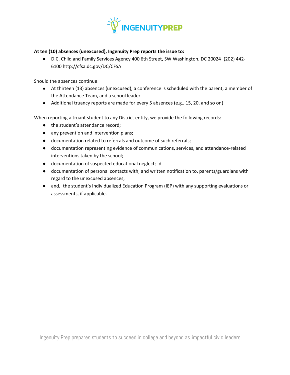

## **At ten (10) absences (unexcused), Ingenuity Prep reports the issue to:**

● D.C. Child and Family Services Agency 400 6th Street, SW Washington, DC 20024 (202) 442- 6100 http://cfsa.dc.gov/DC/CFSA

Should the absences continue:

- At thirteen (13) absences (unexcused), a conference is scheduled with the parent, a member of the Attendance Team, and a school leader
- Additional truancy reports are made for every 5 absences (e.g., 15, 20, and so on)

When reporting a truant student to any District entity, we provide the following records:

- the student's attendance record;
- any prevention and intervention plans;
- documentation related to referrals and outcome of such referrals;
- documentation representing evidence of communications, services, and attendance-related interventions taken by the school;
- documentation of suspected educational neglect; d
- documentation of personal contacts with, and written notification to, parents/guardians with regard to the unexcused absences;
- and, the student's Individualized Education Program (IEP) with any supporting evaluations or assessments, if applicable.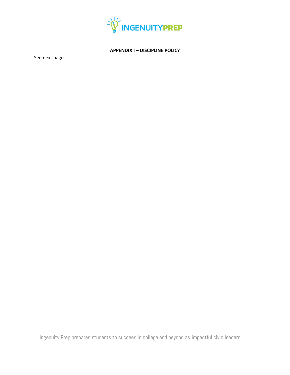

## **APPENDIX I – DISCIPLINE POLICY**

See next page.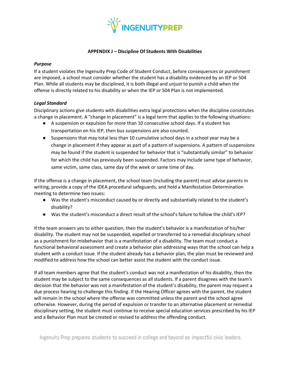

### **APPENDIX J – Discipline Of Students With Disabilities**

#### *Purpose*

If a student violates the Ingenuity Prep Code of Student Conduct, before consequences or punishment are imposed, a school must consider whether the student has a disability evidenced by an IEP or 504 Plan. While all students may be disciplined, it is both illegal and unjust to punish a child when the offense is directly related to his disability or when the IEP or 504 Plan is not implemented.

## *Legal Standard*

Disciplinary actions give students with disabilities extra legal protections when the discipline constitutes a change in placement. A "change in placement" is a legal term that applies to the following situations:

- A suspension or expulsion for more than 10 consecutive school days. If a student has transportation on his IEP, then bus suspensions are also counted.
- Suspensions that may total less than 10 cumulative school days in a school year may be a change in placement if they appear as part of a pattern of suspensions. A pattern of suspensions may be found if the student is suspended for behavior that is "substantially similar" to behavior for which the child has previously been suspended. Factors may include same type of behavior, same victim, same class, same day of the week or same time of day.

If the offense is a change in placement, the school team (including the parent) must advise parents in writing, provide a copy of the IDEA procedural safeguards, and hold a Manifestation Determination meeting to determine two issues:

- Was the student's misconduct caused by or directly and substantially related to the student's disability?
- Was the student's misconduct a direct result of the school's failure to follow the child's IEP?

If the team answers yes to either question, then the student's behavior is a manifestation of his/her disability. The student may not be suspended, expelled or transferred to a remedial disciplinary school as a punishment for misbehavior that is a manifestation of a disability. The team must conduct a functional behavioral assessment and create a behavior plan addressing ways that the school can help a student with a conduct issue. If the student already has a behavior plan, the plan must be reviewed and modified to address how the school can better assist the student with the conduct issue.

If all team members agree that the student's conduct was not a manifestation of his disability, then the student may be subject to the same consequences as all students. If a parent disagrees with the team's decision that the behavior was not a manifestation of the student's disability, the parent may request a due process hearing to challenge this finding. If the Hearing Officer agrees with the parent, the student will remain in the school where the offense was committed unless the parent and the school agree otherwise. However, during the period of expulsion or transfer to an alternative placement or remedial disciplinary setting, the student must continue to receive special education services prescribed by his IEP and a Behavior Plan must be created or revised to address the offending conduct.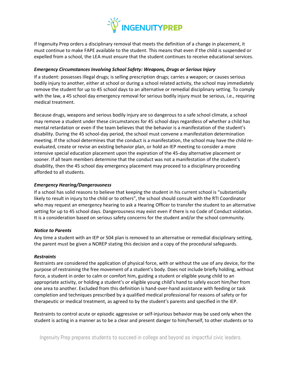

If Ingenuity Prep orders a disciplinary removal that meets the definition of a change in placement, it must continue to make FAPE available to the student. This means that even if the child is suspended or expelled from a school, the LEA must ensure that the student continues to receive educational services.

### *Emergency Circumstances Involving School Safety: Weapons, Drugs or Serious Injury*

If a student: possesses illegal drugs; is selling prescription drugs; carries a weapon; or causes serious bodily injury to another, either at school or during a school related activity, the school may immediately remove the student for up to 45 school days to an alternative or remedial disciplinary setting. To comply with the law, a 45 school day emergency removal for serious bodily injury must be serious, i.e., requiring medical treatment.

Because drugs, weapons and serious bodily injury are so dangerous to a safe school climate, a school may remove a student under these circumstances for 45 school days regardless of whether a child has mental retardation or even if the team believes that the behavior is a manifestation of the student's disability. During the 45 school-day period, the school must convene a manifestation determination meeting. If the school determines that the conduct is a manifestation, the school may have the child reevaluated, create or revise an existing behavior plan, or hold an IEP meeting to consider a more intensive special education placement upon the expiration of the 45-day alternative placement or sooner. If all team members determine that the conduct was not a manifestation of the student's disability, then the 45 school day emergency placement may proceed to a disciplinary proceeding afforded to all students.

#### *Emergency Hearing/Dangerousness*

If a school has solid reasons to believe that keeping the student in his current school is "substantially likely to result in injury to the child or to others", the school should consult with the RTI Coordinator who may request an emergency hearing to ask a Hearing Officer to transfer the student to an alternative setting for up to 45 school days. Dangerousness may exist even if there is no Code of Conduct violation. It is a consideration based on serious safety concerns for the student and/or the school community.

## *Notice to Parents*

Any time a student with an IEP or 504 plan is removed to an alternative or remedial disciplinary setting, the parent must be given a NOREP stating this decision and a copy of the procedural safeguards.

## *Restraints*

Restraints are considered the application of physical force, with or without the use of any device, for the purpose of restraining the free movement of a student's body. Does not include briefly holding, without force, a student in order to calm or comfort him, guiding a student or eligible young child to an appropriate activity, or holding a student's or eligible young child's hand to safely escort him/her from one area to another. Excluded from this definition is hand-over-hand assistance with feeding or task completion and techniques prescribed by a qualified medical professional for reasons of safety or for therapeutic or medical treatment, as agreed to by the student's parents and specified in the IEP.

Restraints to control acute or episodic aggressive or self-injurious behavior may be used only when the student is acting in a manner as to be a clear and present danger to him/herself, to other students or to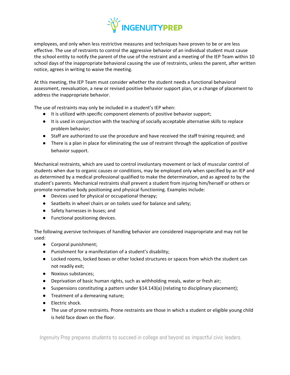

employees, and only when less restrictive measures and techniques have proven to be or are less effective. The use of restraints to control the aggressive behavior of an individual student must cause the school entity to notify the parent of the use of the restraint and a meeting of the IEP Team within 10 school days of the inappropriate behavioral causing the use of restraints, unless the parent, after written notice, agrees in writing to waive the meeting.

At this meeting, the IEP Team must consider whether the student needs a functional behavioral assessment, reevaluation, a new or revised positive behavior support plan, or a change of placement to address the inappropriate behavior.

The use of restraints may only be included in a student's IEP when:

- It is utilized with specific component elements of positive behavior support;
- It is used in conjunction with the teaching of socially acceptable alternative skills to replace problem behavior;
- Staff are authorized to use the procedure and have received the staff training required; and
- There is a plan in place for eliminating the use of restraint through the application of positive behavior support.

Mechanical restraints, which are used to control involuntary movement or lack of muscular control of students when due to organic causes or conditions, may be employed only when specified by an IEP and as determined by a medical professional qualified to make the determination, and as agreed to by the student's parents. Mechanical restraints shall prevent a student from injuring him/herself or others or promote normative body positioning and physical functioning. Examples include:

- Devices used for physical or occupational therapy;
- Seatbelts in wheel chairs or on toilets used for balance and safety;
- Safety harnesses in buses; and
- Functional positioning devices.

The following aversive techniques of handling behavior are considered inappropriate and may not be used:

- Corporal punishment;
- Punishment for a manifestation of a student's disability;
- Locked rooms, locked boxes or other locked structures or spaces from which the student can not readily exit;
- Noxious substances;
- Deprivation of basic human rights, such as withholding meals, water or fresh air;
- Suspensions constituting a pattern under §14.143(a) (relating to disciplinary placement);
- Treatment of a demeaning nature;
- Electric shock.
- The use of prone restraints. Prone restraints are those in which a student or eligible young child is held face down on the floor.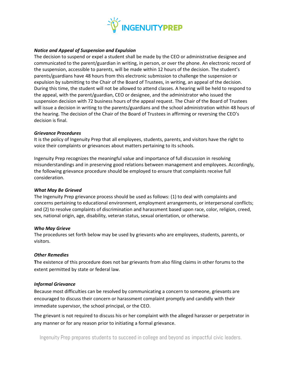

### *Notice and Appeal of Suspension and Expulsion*

The decision to suspend or expel a student shall be made by the CEO or administrative designee and communicated to the parent/guardian in writing, in person, or over the phone. An electronic record of the suspension, accessible to parents, will be made within 12 hours of the decision. The student's parents/guardians have 48 hours from this electronic submission to challenge the suspension or expulsion by submitting to the Chair of the Board of Trustees, in writing, an appeal of the decision. During this time, the student will not be allowed to attend classes. A hearing will be held to respond to the appeal, with the parent/guardian, CEO or designee, and the administrator who issued the suspension decision with 72 business hours of the appeal request. The Chair of the Board of Trustees will issue a decision in writing to the parents/guardians and the school administration within 48 hours of the hearing. The decision of the Chair of the Board of Trustees in affirming or reversing the CEO's decision is final.

#### *Grievance Procedures*

It is the policy of Ingenuity Prep that all employees, students, parents, and visitors have the right to voice their complaints or grievances about matters pertaining to its schools.

Ingenuity Prep recognizes the meaningful value and importance of full discussion in resolving misunderstandings and in preserving good relations between management and employees. Accordingly, the following grievance procedure should be employed to ensure that complaints receive full consideration.

### *What May Be Grieved*

The Ingenuity Prep grievance process should be used as follows: (1) to deal with complaints and concerns pertaining to educational environment, employment arrangements, or interpersonal conflicts; and (2) to resolve complaints of discrimination and harassment based upon race, color, religion, creed, sex, national origin, age, disability, veteran status, sexual orientation, or otherwise.

#### *Who May Grieve*

The procedures set forth below may be used by grievants who are employees, students, parents, or visitors.

## *Other Remedies*

**T**he existence of this procedure does not bar grievants from also filing claims in other forums to the extent permitted by state or federal law.

## *Informal Grievance*

Because most difficulties can be resolved by communicating a concern to someone, grievants are encouraged to discuss their concern or harassment complaint promptly and candidly with their immediate supervisor, the school principal, or the CEO.

The grievant is not required to discuss his or her complaint with the alleged harasser or perpetrator in any manner or for any reason prior to initiating a formal grievance.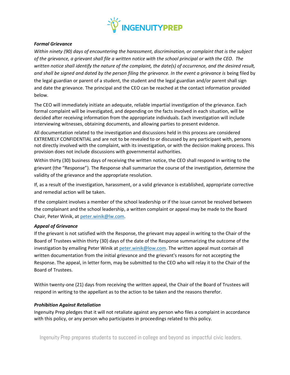

## *Formal Grievance*

*Within ninety (90) days of encountering the harassment, discrimination, or complaint that is the subject of the grievance, a grievant shall file a written notice with the school principal or with the CEO. The written notice shall identify the nature of the complaint, the date(s) of occurrence, and the desired result, and shall be signed and dated by the person filing the grievance. In the event a grievance is* being filed by the legal guardian or parent of a student, the student and the legal guardian and/or parent shall sign and date the grievance. The principal and the CEO can be reached at the contact information provided below.

The CEO will immediately initiate an adequate, reliable impartial investigation of the grievance. Each formal complaint will be investigated, and depending on the facts involved in each situation, will be decided after receiving information from the appropriate individuals. Each investigation will include interviewing witnesses, obtaining documents, and allowing parties to present evidence.

All documentation related to the investigation and discussions held in this process are considered EXTREMELY CONFIDENTIAL and are not to be revealed to or discussed by any participant with, persons not directly involved with the complaint, with its investigation, or with the decision making process. This provision does not include discussions with governmental authorities.

Within thirty (30) business days of receiving the written notice, the CEO shall respond in writing to the grievant (the "Response"). The Response shall summarize the course of the investigation, determine the validity of the grievance and the appropriate resolution.

If, as a result of the investigation, harassment, or a valid grievance is established, appropriate corrective and remedial action will be taken.

If the complaint involves a member of the school leadership or if the issue cannot be resolved between the complainant and the school leadership, a written complaint or appeal may be made to the Board Chair, Peter Winik, at [peter.winik@lw.com.](mailto:peter.winik@lw.com)

## *Appeal of Grievance*

If the grievant is not satisfied with the Response, the grievant may appeal in writing to the Chair of the Board of Trustees within thirty (30) days of the date of the Response summarizing the outcome of the investigation by emailing Peter Winik at [peter.winik@low.com.](mailto:peter.winik@low.com) The written appeal must contain all written documentation from the initial grievance and the grievant's reasons for not accepting the Response. The appeal, in letter form, may be submitted to the CEO who will relay it to the Chair of the Board of Trustees.

Within twenty-one (21) days from receiving the written appeal, the Chair of the Board of Trustees will respond in writing to the appellant as to the action to be taken and the reasons therefor.

## *Prohibition Against Retaliation*

Ingenuity Prep pledges that it will not retaliate against any person who files a complaint in accordance with this policy, or any person who participates in proceedings related to this policy.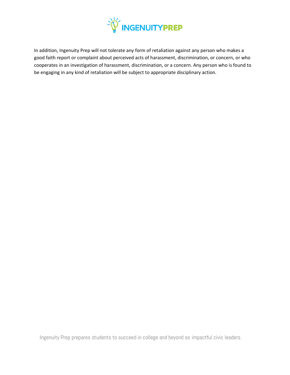

In addition, Ingenuity Prep will not tolerate any form of retaliation against any person who makes a good faith report or complaint about perceived acts of harassment, discrimination, or concern, or who cooperates in an investigation of harassment, discrimination, or a concern. Any person who is found to be engaging in any kind of retaliation will be subject to appropriate disciplinary action.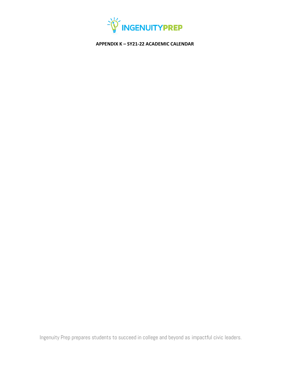

**APPENDIX K – SY21-22 ACADEMIC CALENDAR**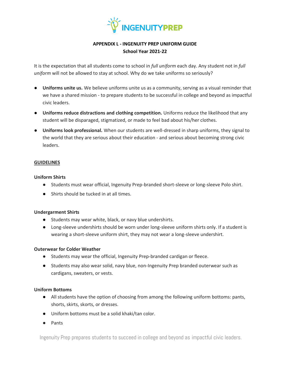

# **APPENDIX L - INGENUITY PREP UNIFORM GUIDE School Year 2021-22**

It is the expectation that all students come to school in *full uniform* each day. Any student not in *full uniform* will not be allowed to stay at school. Why do we take uniforms so seriously?

- **Uniforms unite us.** We believe uniforms unite us as a community, serving as a visual reminder that we have a shared mission - to prepare students to be successful in college and beyond as impactful civic leaders.
- **Uniforms reduce distractions and clothing competition.** Uniforms reduce the likelihood that any student will be disparaged, stigmatized, or made to feel bad about his/her clothes.
- **Uniforms look professional.** When our students are well-dressed in sharp uniforms, they signal to the world that they are serious about their education - and serious about becoming strong civic leaders.

## **GUIDELINES**

## **Uniform Shirts**

- Students must wear official, Ingenuity Prep-branded short-sleeve or long-sleeve Polo shirt.
- Shirts should be tucked in at all times.

## **Undergarment Shirts**

- Students may wear white, black, or navy blue undershirts.
- Long-sleeve undershirts should be worn under long-sleeve uniform shirts only. If a student is wearing a short-sleeve uniform shirt, they may not wear a long-sleeve undershirt.

## **Outerwear for Colder Weather**

- Students may wear the official, Ingenuity Prep-branded cardigan or fleece.
- Students may also wear solid, navy blue, non-Ingenuity Prep branded outerwear such as cardigans, sweaters, or vests.

## **Uniform Bottoms**

- All students have the option of choosing from among the following uniform bottoms: pants, shorts, skirts, skorts, or dresses.
- Uniform bottoms must be a solid khaki/tan color.
- Pants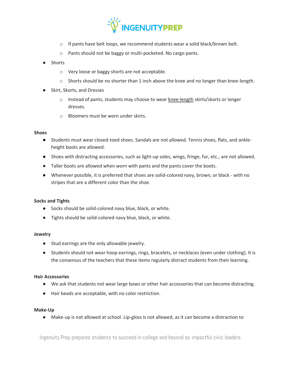

- $\circ$  If pants have belt loops, we recommend students wear a solid black/brown belt.
- o Pants should not be baggy or multi-pocketed. No cargo pants.
- Shorts
	- o Very loose or baggy shorts are not acceptable.
	- $\circ$  Shorts should be no shorter than 1 inch above the knee and no longer than knee-length.
- Skirt, Skorts, and Dresses
	- $\circ$  Instead of pants, students may choose to wear knee-length skirts/skorts or longer dresses.
	- o Bloomers must be worn under skirts.

#### **Shoes**

- Students must wear closed-toed shoes. Sandals are not allowed. Tennis shoes, flats, and ankleheight boots are allowed.
- Shoes with distracting accessories, such as light-up soles, wings, fringe, fur, etc., are not allowed.
- Taller boots are allowed when worn with pants and the pants cover the boots.
- Whenever possible, it is preferred that shoes are solid-colored navy, brown, or black with no stripes that are a different color than the shoe.

#### **Socks and Tights**

- Socks should be solid-colored navy blue, black, or white.
- Tights should be solid-colored navy blue, black, or white.

#### **Jewelry**

- Stud earrings are the only allowable jewelry.
- Students should not wear hoop earrings, rings, bracelets, or necklaces (even under clothing). It is the consensus of the teachers that these items regularly distract students from their learning.

#### **Hair Accessories**

- We ask that students not wear large bows or other hair accessories that can become distracting.
- Hair beads are acceptable, with no color restriction.

#### **Make-Up**

● Make-up is not allowed at school. Lip-gloss is not allowed, as it can become a distraction to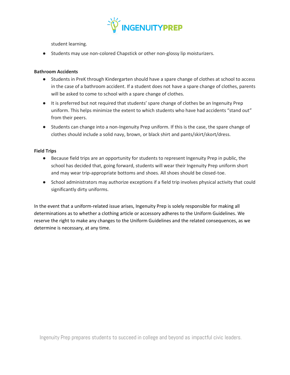

student learning.

● Students may use non-colored Chapstick or other non-glossy lip moisturizers.

#### **Bathroom Accidents**

- Students in PreK through Kindergarten should have a spare change of clothes at school to access in the case of a bathroom accident. If a student does not have a spare change of clothes, parents will be asked to come to school with a spare change of clothes.
- It is preferred but not required that students' spare change of clothes be an Ingenuity Prep uniform. This helps minimize the extent to which students who have had accidents "stand out" from their peers.
- Students can change into a non-Ingenuity Prep uniform. If this is the case, the spare change of clothes should include a solid navy, brown, or black shirt and pants/skirt/skort/dress.

#### **Field Trips**

- Because field trips are an opportunity for students to represent Ingenuity Prep in public, the school has decided that, going forward, students will wear their Ingenuity Prep uniform short and may wear trip-appropriate bottoms and shoes. All shoes should be closed-toe.
- School administrators may authorize exceptions if a field trip involves physical activity that could significantly dirty uniforms.

In the event that a uniform-related issue arises, Ingenuity Prep is solely responsible for making all determinations as to whether a clothing article or accessory adheres to the Uniform Guidelines. We reserve the right to make any changes to the Uniform Guidelines and the related consequences, as we determine is necessary, at any time.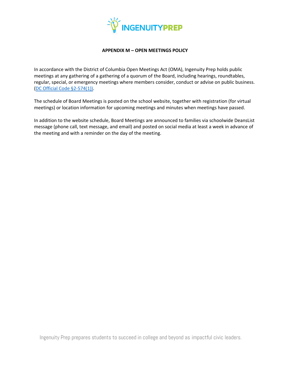

#### **APPENDIX M – OPEN MEETINGS POLICY**

In accordance with the District of Columbia Open Meetings Act (OMA), Ingenuity Prep holds public meetings at any gathering of a gathering of a quorum of the Board, including hearings, roundtables, regular, special, or emergency meetings where members consider, conduct or advise on public business. [\(DC Official Code §2-574\(1\)\).](https://beta.code.dccouncil.us/dc/council/code/sections/2-574.html)

The schedule of Board Meetings is posted on the school website, together with registration (for virtual meetings) or location information for upcoming meetings and minutes when meetings have passed.

In addition to the website schedule, Board Meetings are announced to families via schoolwide DeansList message (phone call, text message, and email) and posted on social media at least a week in advance of the meeting and with a reminder on the day of the meeting.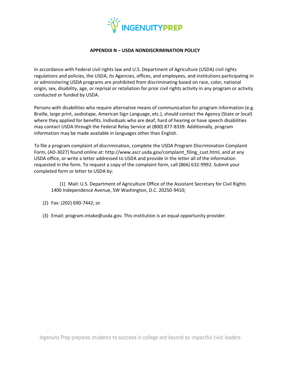

#### **APPENDIX N – USDA NONDISCRIMINATION POLICY**

In accordance with Federal civil rights law and U.S. Department of Agriculture (USDA) civil rights regulations and policies, the USDA, its Agencies, offices, and employees, and institutions participating in or administering USDA programs are prohibited from discriminating based on race, color, national origin, sex, disability, age, or reprisal or retaliation for prior civil rights activity in any program or activity conducted or funded by USDA.

Persons with disabilities who require alternative means of communication for program information (e.g. Braille, large print, audiotape, American Sign Language, etc.), should contact the Agency (State or local) where they applied for benefits. Individuals who are deaf, hard of hearing or have speech disabilities may contact USDA through the Federal Relay Service at (800) 877-8339. Additionally, program information may be made available in languages other than English.

To file a program complaint of discrimination, complete the USDA Program Discrimination Complaint Form, (AD-3027) found online at: http://www.ascr.usda.gov/complaint\_filing\_cust.html, and at any USDA office, or write a letter addressed to USDA and provide in the letter all of the information requested in the form. To request a copy of the complaint form, call (866) 632-9992. Submit your completed form or letter to USDA by:

(1) Mail: U.S. Department of Agriculture Office of the Assistant Secretary for Civil Rights 1400 Independence Avenue, SW Washington, D.C. 20250-9410;

- (2) Fax: (202) 690-7442; or
- (3) Email: program.intake@usda.gov. This institution is an equal opportunity provider.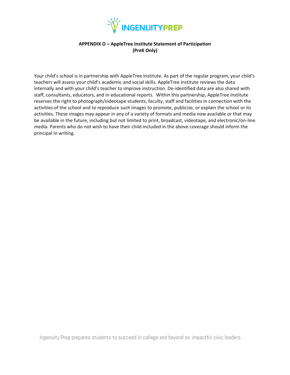

#### **APPENDIX O – AppleTree Institute Statement of Participation (PreK Only)**

Your child's school is in partnership with AppleTree Institute. As part of the regular program, your child's teachers will assess your child's academic and social skills. AppleTree Institute reviews the data internally and with your child's teacher to improve instruction. De-identified data are also shared with staff, consultants, educators, and in educational reports. Within this partnership, AppleTree Institute reserves the right to photograph/videotape students, faculty, staff and facilities in connection with the activities of the school and to reproduce such images to promote, publicize, or explain the school or its activities. These images may appear in any of a variety of formats and media now available or that may be available in the future, including but not limited to print, broadcast, videotape, and electronic/on-line media. Parents who do not wish to have their child included in the above coverage should inform the principal in writing.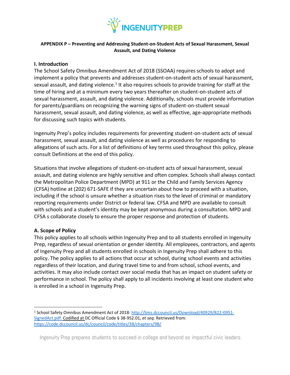

#### **APPENDIX P – Preventing and Addressing Student-on-Student Acts of Sexual Harassment, Sexual Assault, and Dating Violence**

## **I. Introduction**

The School Safety Omnibus Amendment Act of 2018 (SSOAA) requires schools to adopt and implement a policy that prevents and addresses student-on-student acts of sexual harassment, sexual assault, and dating violence.<sup>1</sup> It also requires schools to provide training for staff at the time of hiring and at a minimum every two years thereafter on student-on-student acts of sexual harassment, assault, and dating violence. Additionally, schools must provide information for parents/guardians on recognizing the warning signs of student-on-student sexual harassment, sexual assault, and dating violence, as well as effective, age-appropriate methods for discussing such topics with students.

Ingenuity Prep's policy includes requirements for preventing student-on-student acts of sexual harassment, sexual assault, and dating violence as well as procedures for responding to allegations of such acts. For a list of definitions of key terms used throughout this policy, please consult Definitions at the end of this policy.

Situations that involve allegations of student-on-student acts of sexual harassment, sexual assault, and dating violence are highly sensitive and often complex. Schools shall always contact the Metropolitan Police Department (MPD) at 911 or the Child and Family Services Agency (CFSA) hotline at (202) 671-SAFE if they are uncertain about how to proceed with a situation, including if the school is unsure whether a situation rises to the level of criminal or mandatory reporting requirements under District or federal law. CFSA and MPD are available to consult with schools and a student's identity may be kept anonymous during a consultation. MPD and CFSA s collaborate closely to ensure the proper response and protection of students.

#### **A. Scope of Policy**

This policy applies to all schools within Ingenuity Prep and to all students enrolled in Ingenuity Prep, regardless of sexual orientation or gender identity. All employees, contractors, and agents of Ingenuity Prep and all students enrolled in schools in Ingenuity Prep shall adhere to this policy. The policy applies to all actions that occur at school, during school events and activities regardless of their location, and during travel time to and from school, school events, and activities. It may also include contact over social media that has an impact on student safety or performance in school. The policy shall apply to all incidents involving at least one student who is enrolled in a school in Ingenuity Prep.

<sup>1</sup> School Safety Omnibus Amendment Act of 2018[: http://lims.dccouncil.us/Download/40929/B22-0951-](http://lims.dccouncil.us/Download/40929/B22-0951-SignedAct.pdf) [SignedAct.pdf.](http://lims.dccouncil.us/Download/40929/B22-0951-SignedAct.pdf) Codified at DC Official Code § 38-952.01, *et seq.* Retrieved from: <https://code.dccouncil.us/dc/council/code/titles/38/chapters/9B/>

Ingenuity Prep prepares students to succeed in college and beyond as impactful civic leaders.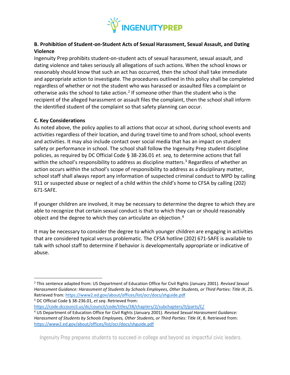

# **B. Prohibition of Student-on-Student Acts of Sexual Harassment, Sexual Assault, and Dating Violence**

Ingenuity Prep prohibits student-on-student acts of sexual harassment, sexual assault, and dating violence and takes seriously all allegations of such actions. When the school knows or reasonably should know that such an act has occurred, then the school shall take immediate and appropriate action to investigate. The procedures outlined in this policy shall be completed regardless of whether or not the student who was harassed or assaulted files a complaint or otherwise asks the school to take action.<sup>2</sup> If someone other than the student who is the recipient of the alleged harassment or assault files the complaint, then the school shall inform the identified student of the complaint so that safety planning can occur.

#### **C. Key Considerations**

As noted above, the policy applies to all actions that occur at school, during school events and activities regardless of their location, and during travel time to and from school, school events and activities. It may also include contact over social media that has an impact on student safety or performance in school. The school shall follow the Ingenuity Prep student discipline policies, as required by DC Official Code § 38-236.01 *et. seq*, to determine actions that fall within the school's responsibility to address as discipline matters.<sup>3</sup> Regardless of whether an action occurs within the school's scope of responsibility to address as a disciplinary matter, school staff shall always report any information of suspected criminal conduct to MPD by calling 911 or suspected abuse or neglect of a child within the child's home to CFSA by calling (202) 671-SAFE.

If younger children are involved, it may be necessary to determine the degree to which they are able to recognize that certain sexual conduct is that to which they can or should reasonably object and the degree to which they can articulate an objection.<sup>4</sup>

It may be necessary to consider the degree to which younger children are engaging in activities that are considered typical versus problematic. The CFSA hotline (202) 671-SAFE is available to talk with school staff to determine if behavior is developmentally appropriate or indicative of abuse.

<sup>3</sup> DC Official Code § 38-236.01, *et seq*. Retrieved from:

<https://code.dccouncil.us/dc/council/code/titles/38/chapters/2/subchapters/II/parts/C/> <sup>4</sup> US Department of Education Office for Civil Rights (January 2001). *Revised Sexual Harassment Guidance: Harassment of Students by Schools Employees, Other Students, or Third Parties: Title IX*, 8. Retrieved from: <https://www2.ed.gov/about/offices/list/ocr/docs/shguide.pdf>

<sup>2</sup> This sentence adapted from: US Department of Education Office for Civil Rights (January 2001). *Revised Sexual Harassment Guidance: Harassment of Students by Schools Employees, Other Students, or Third Parties: Title IX*, 25. Retrieved from:<https://www2.ed.gov/about/offices/list/ocr/docs/shguide.pdf>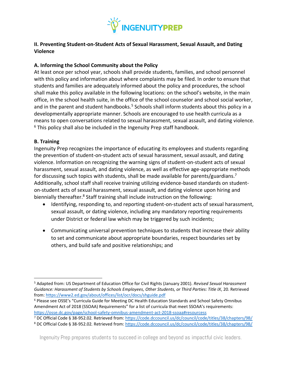

## **II. Preventing Student-on-Student Acts of Sexual Harassment, Sexual Assault, and Dating Violence**

## **A. Informing the School Community about the Policy**

At least once per school year, schools shall provide students, families, and school personnel with this policy and information about where complaints may be filed. In order to ensure that students and families are adequately informed about the policy and procedures, the school shall make this policy available in the following locations: on the school's website, in the main office, in the school health suite, in the office of the school counselor and school social worker, and in the parent and student handbooks.<sup>5</sup> Schools shall inform students about this policy in a developmentally appropriate manner. Schools are encouraged to use health curricula as a means to open conversations related to sexual harassment, sexual assault, and dating violence.  $6$  This policy shall also be included in the Ingenuity Prep staff handbook.

#### **B. Training**

Ingenuity Prep recognizes the importance of educating its employees and students regarding the prevention of student-on-student acts of sexual harassment, sexual assault, and dating violence. Information on recognizing the warning signs of student-on-student acts of sexual harassment, sexual assault, and dating violence, as well as effective age-appropriate methods for discussing such topics with students, shall be made available for parents/guardians.<sup>7</sup> Additionally, school staff shall receive training utilizing evidence-based standards on studenton-student acts of sexual harassment, sexual assault, and dating violence upon hiring and biennially thereafter.<sup>8</sup> Staff training shall include instruction on the following:

- Identifying, responding to, and reporting student-on-student acts of sexual harassment, sexual assault, or dating violence, including any mandatory reporting requirements under District or federal law which may be triggered by such incidents;
- Communicating universal prevention techniques to students that increase their ability to set and communicate about appropriate boundaries, respect boundaries set by others, and build safe and positive relationships; and

<sup>5</sup> Adapted from: US Department of Education Office for Civil Rights (January 2001). *Revised Sexual Harassment Guidance: Harassment of Students by Schools Employees, Other Students, or Third Parties: Title IX*, 20. Retrieved from[: https://www2.ed.gov/about/offices/list/ocr/docs/shguide.pdf](https://www2.ed.gov/about/offices/list/ocr/docs/shguide.pdf)

<sup>6</sup> Please see OSSE's "Curricula Guide for Meeting DC Health Education Standards and School Safety Omnibus Amendment Act of 2018 (SSOAA) Requirements" for a list of curricula that meet SSOAA's requirements: <https://osse.dc.gov/page/school-safety-omnibus-amendment-act-2018-ssoaa#resourcess>

<sup>7</sup> DC Official Code § 38-952.02*.* Retrieved from[: https://code.dccouncil.us/dc/council/code/titles/38/chapters/9B/](https://code.dccouncil.us/dc/council/code/titles/38/chapters/9B/) <sup>8</sup> DC Official Code § 38-952.02*.* Retrieved from[: https://code.dccouncil.us/dc/council/code/titles/38/chapters/9B/](https://code.dccouncil.us/dc/council/code/titles/38/chapters/9B/)

Ingenuity Prep prepares students to succeed in college and beyond as impactful civic leaders.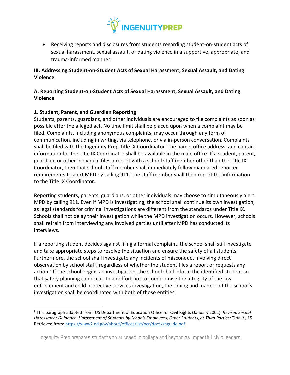

• Receiving reports and disclosures from students regarding student-on-student acts of sexual harassment, sexual assault, or dating violence in a supportive, appropriate, and trauma-informed manner.

# **III. Addressing Student-on-Student Acts of Sexual Harassment, Sexual Assault, and Dating Violence**

# **A. Reporting Student-on-Student Acts of Sexual Harassment, Sexual Assault, and Dating Violence**

# **1. Student, Parent, and Guardian Reporting**

Students, parents, guardians, and other individuals are encouraged to file complaints as soon as possible after the alleged act. No time limit shall be placed upon when a complaint may be filed. Complaints, including anonymous complaints, may occur through any form of communication, including in writing, via telephone, or via in-person conversation. Complaints shall be filed with the Ingenuity Prep Title IX Coordinator. The name, office address, and contact information for the Title IX Coordinator shall be available in the main office. If a student, parent, guardian, or other individual files a report with a school staff member other than the Title IX Coordinator, then that school staff member shall immediately follow mandated reporter requirements to alert MPD by calling 911. The staff member shall then report the information to the Title IX Coordinator.

Reporting students, parents, guardians, or other individuals may choose to simultaneously alert MPD by calling 911. Even if MPD is investigating, the school shall continue its own investigation, as legal standards for criminal investigations are different from the standards under Title IX. Schools shall not delay their investigation while the MPD investigation occurs. However, schools shall refrain from interviewing any involved parties until after MPD has conducted its interviews.

If a reporting student decides against filing a formal complaint, the school shall still investigate and take appropriate steps to resolve the situation and ensure the safety of all students. Furthermore, the school shall investigate any incidents of misconduct involving direct observation by school staff, regardless of whether the student files a report or requests any action.<sup>9</sup> If the school begins an investigation, the school shall inform the identified student so that safety planning can occur. In an effort not to compromise the integrity of the law enforcement and child protective services investigation, the timing and manner of the school's investigation shall be coordinated with both of those entities.

<sup>9</sup> This paragraph adapted from: US Department of Education Office for Civil Rights (January 2001). *Revised Sexual Harassment Guidance: Harassment of Students by Schools Employees, Other Students, or Third Parties: Title IX*, 15. Retrieved from:<https://www2.ed.gov/about/offices/list/ocr/docs/shguide.pdf>

Ingenuity Prep prepares students to succeed in college and beyond as impactful civic leaders.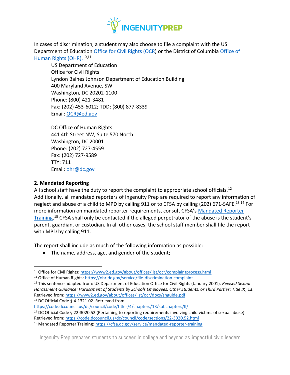

In cases of discrimination, a student may also choose to file a complaint with the US Department of Education [Office for Civil Rights \(OCR\)](https://www2.ed.gov/about/offices/list/ocr/complaintprocess.html) or the District of Columbi[a Office of](https://ohr.dc.gov/service/file-discrimination-complaint)  [Human Rights \(OHR\).](https://ohr.dc.gov/service/file-discrimination-complaint)10,11

US Department of Education Office for Civil Rights Lyndon Baines Johnson Department of Education Building 400 Maryland Avenue, SW Washington, DC 20202-1100 Phone: (800) 421-3481 Fax: (202) 453-6012; TDD: (800) 877-8339 Email: [OCR@ed.gov](mailto:OCR@ed.gov)

DC Office of Human Rights 441 4th Street NW, Suite 570 North Washington, DC 20001 Phone: (202) 727-4559 Fax: (202) 727-9589 TTY: 711 Email: [ohr@dc.gov](mailto:ohr@dc.gov)

#### **2. Mandated Reporting**

All school staff have the duty to report the complaint to appropriate school officials.<sup>12</sup> Additionally, all mandated reporters of Ingenuity Prep are required to report any information of neglect and abuse of a child to MPD by calling 911 or to CFSA by calling (202) 671-SAFE.<sup>13,14</sup> For more information on mandated reporter requirements, consult CFSA's [Mandated Reporter](https://cfsa.dc.gov/service/mandated-reporter-training)  [Training.](https://cfsa.dc.gov/service/mandated-reporter-training)<sup>15</sup> CFSA shall only be contacted if the alleged perpetrator of the abuse is the student's parent, guardian, or custodian. In all other cases, the school staff member shall file the report with MPD by calling 911.

The report shall include as much of the following information as possible:

• The name, address, age, and gender of the student;

<sup>13</sup> DC Official Code § 4-1321.02. Retrieved from:

<https://code.dccouncil.us/dc/council/code/titles/4/chapters/13/subchapters/II/> <sup>14</sup> DC Official Code § 22-3020.52 (Pertaining to reporting requirements involving child victims of sexual abuse). Retrieved from:<https://code.dccouncil.us/dc/council/code/sections/22-3020.52.html>

<sup>10</sup> Office for Civil Rights:<https://www2.ed.gov/about/offices/list/ocr/complaintprocess.html>

<sup>11</sup> Office of Human Rights[: https://ohr.dc.gov/service/file-discrimination-complaint](https://ohr.dc.gov/service/file-discrimination-complaint)

<sup>12</sup> This sentence adapted from: US Department of Education Office for Civil Rights (January 2001). *Revised Sexual Harassment Guidance: Harassment of Students by Schools Employees, Other Students, or Third Parties: Title IX*, 13. Retrieved from:<https://www2.ed.gov/about/offices/list/ocr/docs/shguide.pdf>

<sup>15</sup> Mandated Reporter Training[: https://cfsa.dc.gov/service/mandated-reporter-training](https://cfsa.dc.gov/service/mandated-reporter-training)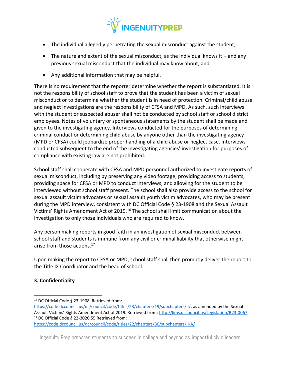

- The individual allegedly perpetrating the sexual misconduct against the student;
- The nature and extent of the sexual misconduct, as the individual knows it  $-$  and any previous sexual misconduct that the individual may know about; and
- Any additional information that may be helpful.

There is no requirement that the reporter determine whether the report is substantiated. It is not the responsibility of school staff to prove that the student has been a victim of sexual misconduct or to determine whether the student is in need of protection. Criminal/child abuse and neglect investigations are the responsibility of CFSA and MPD. As such, such interviews with the student or suspected abuser shall not be conducted by school staff or school district employees. Notes of voluntary or spontaneous statements by the student shall be made and given to the investigating agency. Interviews conducted for the purposes of determining criminal conduct or determining child abuse by anyone other than the investigating agency (MPD or CFSA) could jeopardize proper handling of a child abuse or neglect case. Interviews conducted subsequent to the end of the investigating agencies' investigation for purposes of compliance with existing law are not prohibited.

School staff shall cooperate with CFSA and MPD personnel authorized to investigate reports of sexual misconduct, including by preserving any video footage, providing access to students, providing space for CFSA or MPD to conduct interviews, and allowing for the student to be interviewed without school staff present. The school shall also provide access to the school for sexual assault victim advocates or sexual assault youth victim advocates, who may be present during the MPD interview, consistent with DC Official Code § 23-1908 and the Sexual Assault Victims' Rights Amendment Act of 2019.<sup>16</sup> The school shall limit communication about the investigation to only those individuals who are required to know.

Any person making reports in good faith in an investigation of sexual misconduct between school staff and students is immune from any civil or criminal liability that otherwise might arise from those actions.<sup>17</sup>

Upon making the report to CFSA or MPD, school staff shall then promptly deliver the report to the Title IX Coordinator and the head of school.

## **3. Confidentiality**

- <sup>16</sup> DC Official Code § 23-1908. Retrieved from:
- [https://code.dccouncil.us/dc/council/code/titles/23/chapters/19/subchapters/II/,](https://code.dccouncil.us/dc/council/code/titles/23/chapters/19/subchapters/II/) as amended by the Sexual Assault Victims' Rights Amendment Act of 2019. Retrieved from: <http://lims.dccouncil.us/Legislation/B23-0067> <sup>17</sup> DC Official Code § 22-3020.55 Retrieved from:

<https://code.dccouncil.us/dc/council/code/titles/22/chapters/30/subchapters/II-A/>

Ingenuity Prep prepares students to succeed in college and beyond as impactful civic leaders.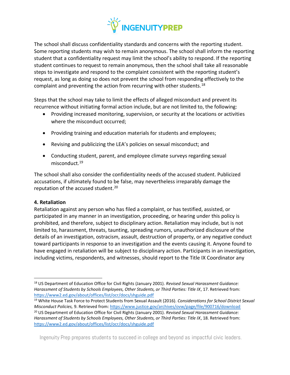

The school shall discuss confidentiality standards and concerns with the reporting student. Some reporting students may wish to remain anonymous. The school shall inform the reporting student that a confidentiality request may limit the school's ability to respond. If the reporting student continues to request to remain anonymous, then the school shall take all reasonable steps to investigate and respond to the complaint consistent with the reporting student's request, as long as doing so does not prevent the school from responding effectively to the complaint and preventing the action from recurring with other students.<sup>18</sup>

Steps that the school may take to limit the effects of alleged misconduct and prevent its recurrence without initiating formal action include, but are not limited to, the following:

- Providing increased monitoring, supervision, or security at the locations or activities where the misconduct occurred;
- Providing training and education materials for students and employees;
- Revising and publicizing the LEA's policies on sexual misconduct; and
- Conducting student, parent, and employee climate surveys regarding sexual misconduct.<sup>19</sup>

The school shall also consider the confidentiality needs of the accused student. Publicized accusations, if ultimately found to be false, may nevertheless irreparably damage the reputation of the accused student.<sup>20</sup>

## **4. Retaliation**

Retaliation against any person who has filed a complaint, or has testified, assisted, or participated in any manner in an investigation, proceeding, or hearing under this policy is prohibited, and therefore, subject to disciplinary action. Retaliation may include, but is not limited to, harassment, threats, taunting, spreading rumors, unauthorized disclosure of the details of an investigation, ostracism, assault, destruction of property, or any negative conduct toward participants in response to an investigation and the events causing it. Anyone found to have engaged in retaliation will be subject to disciplinary action. Participants in an investigation, including victims, respondents, and witnesses, should report to the Title IX Coordinator any

<sup>18</sup> US Department of Education Office for Civil Rights (January 2001). *Revised Sexual Harassment Guidance: Harassment of Students by Schools Employees, Other Students, or Third Parties: Title IX*, 17. Retrieved from: <https://www2.ed.gov/about/offices/list/ocr/docs/shguide.pdf>

<sup>19</sup> White House Task Force to Protect Students from Sexual Assault (2016). *Considerations for School District Sexual Misconduct Policies,* 9. Retrieved from:<https://www.justice.gov/archives/ovw/page/file/900716/download> <sup>20</sup> US Department of Education Office for Civil Rights (January 2001). *Revised Sexual Harassment Guidance: Harassment of Students by Schools Employees, Other Students, or Third Parties: Title IX*, 18. Retrieved from: <https://www2.ed.gov/about/offices/list/ocr/docs/shguide.pdf>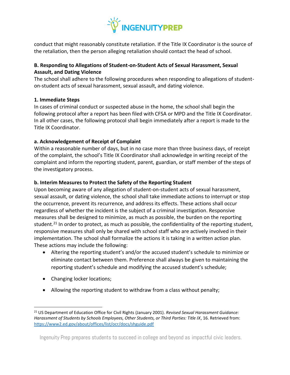

conduct that might reasonably constitute retaliation. If the Title IX Coordinator is the source of the retaliation, then the person alleging retaliation should contact the head of school.

# **B. Responding to Allegations of Student-on-Student Acts of Sexual Harassment, Sexual Assault, and Dating Violence**

The school shall adhere to the following procedures when responding to allegations of studenton-student acts of sexual harassment, sexual assault, and dating violence.

## **1. Immediate Steps**

In cases of criminal conduct or suspected abuse in the home, the school shall begin the following protocol after a report has been filed with CFSA or MPD and the Title IX Coordinator. In all other cases, the following protocol shall begin immediately after a report is made to the Title IX Coordinator.

## **a. Acknowledgement of Receipt of Complaint**

Within a reasonable number of days, but in no case more than three business days, of receipt of the complaint, the school's Title IX Coordinator shall acknowledge in writing receipt of the complaint and inform the reporting student, parent, guardian, or staff member of the steps of the investigatory process.

## **b. Interim Measures to Protect the Safety of the Reporting Student**

Upon becoming aware of any allegation of student-on-student acts of sexual harassment, sexual assault, or dating violence, the school shall take immediate actions to interrupt or stop the occurrence, prevent its recurrence, and address its effects. These actions shall occur regardless of whether the incident is the subject of a criminal investigation. Responsive measures shall be designed to minimize, as much as possible, the burden on the reporting student.<sup>21</sup> In order to protect, as much as possible, the confidentiality of the reporting student, responsive measures shall only be shared with school staff who are actively involved in their implementation. The school shall formalize the actions it is taking in a written action plan. These actions may include the following:

- Altering the reporting student's and/or the accused student's schedule to minimize or eliminate contact between them. Preference shall always be given to maintaining the reporting student's schedule and modifying the accused student's schedule;
- Changing locker locations;
- Allowing the reporting student to withdraw from a class without penalty;

<sup>21</sup> US Department of Education Office for Civil Rights (January 2001). *Revised Sexual Harassment Guidance: Harassment of Students by Schools Employees, Other Students, or Third Parties: Title IX*, 16. Retrieved from: <https://www2.ed.gov/about/offices/list/ocr/docs/shguide.pdf>

Ingenuity Prep prepares students to succeed in college and beyond as impactful civic leaders.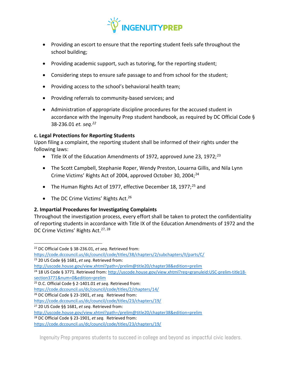

- Providing an escort to ensure that the reporting student feels safe throughout the school building;
- Providing academic support, such as tutoring, for the reporting student;
- Considering steps to ensure safe passage to and from school for the student;
- Providing access to the school's behavioral health team;
- Providing referrals to community-based services; and
- Administration of appropriate discipline procedures for the accused student in accordance with the Ingenuity Prep student handbook, as required by DC Official Code § 38-236.01 *et. seq.<sup>22</sup>*

## **c. Legal Protections for Reporting Students**

Upon filing a complaint, the reporting student shall be informed of their rights under the following laws:

- Title IX of the Education Amendments of 1972, approved June 23, 1972;<sup>23</sup>
- The Scott Campbell, Stephanie Roper, Wendy Preston, Louarna Gillis, and Nila Lynn Crime Victims' Rights Act of 2004, approved October 30, 2004;<sup>24</sup>
- The Human Rights Act of 1977, effective December 18, 1977;<sup>25</sup> and
- The DC Crime Victims' Rights Act.<sup>26</sup>

## **2. Impartial Procedures for Investigating Complaints**

Throughout the investigation process, every effort shall be taken to protect the confidentiality of reporting students in accordance with Title IX of the Education Amendments of 1972 and the DC Crime Victims' Rights Act.<sup>27, 28</sup>

<sup>24</sup> 18 US Code § 3771. Retrieved from: [http://uscode.house.gov/view.xhtml?req=granuleid:USC-prelim-title18](http://uscode.house.gov/view.xhtml?req=granuleid:USC-prelim-title18-section3771&num=0&edition=prelim) [section3771&num=0&edition=prelim](http://uscode.house.gov/view.xhtml?req=granuleid:USC-prelim-title18-section3771&num=0&edition=prelim)

<http://uscode.house.gov/view.xhtml?path=/prelim@title20/chapter38&edition=prelim>

<sup>28</sup> DC Official Code § 23-1901, *et seq.* Retrieved from:

<sup>22</sup> DC Official Code § 38-236.01, *et seq*. Retrieved from:

<https://code.dccouncil.us/dc/council/code/titles/38/chapters/2/subchapters/II/parts/C/>

<sup>23</sup> 20 US Code §§ 1681, *et seq*. Retrieved from:

<http://uscode.house.gov/view.xhtml?path=/prelim@title20/chapter38&edition=prelim>

<sup>25</sup> D.C. Official Code § 2-1401.01 *et seq*. Retrieved from:

<https://code.dccouncil.us/dc/council/code/titles/2/chapters/14/>

<sup>26</sup> DC Official Code § 23-1901, *et seq.* Retrieved from:

<https://code.dccouncil.us/dc/council/code/titles/23/chapters/19/>

<sup>27</sup> 20 US Code §§ 1681, *et seq*. Retrieved from:

<https://code.dccouncil.us/dc/council/code/titles/23/chapters/19/>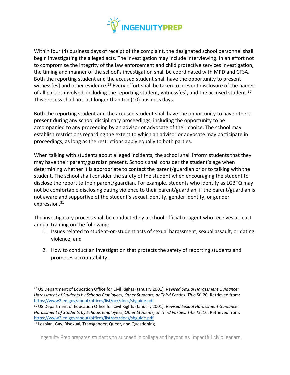

Within four (4) business days of receipt of the complaint, the designated school personnel shall begin investigating the alleged acts. The investigation may include interviewing. In an effort not to compromise the integrity of the law enforcement and child protective services investigation, the timing and manner of the school's investigation shall be coordinated with MPD and CFSA. Both the reporting student and the accused student shall have the opportunity to present witness[es] and other evidence.<sup>29</sup> Every effort shall be taken to prevent disclosure of the names of all parties involved, including the reporting student, witness[es], and the accused student.<sup>30</sup> This process shall not last longer than ten (10) business days.

Both the reporting student and the accused student shall have the opportunity to have others present during any school disciplinary proceedings, including the opportunity to be accompanied to any proceeding by an advisor or advocate of their choice. The school may establish restrictions regarding the extent to which an advisor or advocate may participate in proceedings, as long as the restrictions apply equally to both parties.

When talking with students about alleged incidents, the school shall inform students that they may have their parent/guardian present. Schools shall consider the student's age when determining whether it is appropriate to contact the parent/guardian prior to talking with the student. The school shall consider the safety of the student when encouraging the student to disclose the report to their parent/guardian. For example, students who identify as LGBTQ may not be comfortable disclosing dating violence to their parent/guardian, if the parent/guardian is not aware and supportive of the student's sexual identity, gender identity, or gender expression.<sup>31</sup>

The investigatory process shall be conducted by a school official or agent who receives at least annual training on the following:

- 1. Issues related to student-on-student acts of sexual harassment, sexual assault, or dating violence; and
- 2. How to conduct an investigation that protects the safety of reporting students and promotes accountability.

<sup>29</sup> US Department of Education Office for Civil Rights (January 2001). *Revised Sexual Harassment Guidance: Harassment of Students by Schools Employees, Other Students, or Third Parties: Title IX*, 20. Retrieved from: <https://www2.ed.gov/about/offices/list/ocr/docs/shguide.pdf>

<sup>30</sup> US Department of Education Office for Civil Rights (January 2001). *Revised Sexual Harassment Guidance: Harassment of Students by Schools Employees, Other Students, or Third Parties: Title IX*, 16. Retrieved from: <https://www2.ed.gov/about/offices/list/ocr/docs/shguide.pdf>

<sup>&</sup>lt;sup>31</sup> Lesbian, Gay, Bisexual, Transgender, Queer, and Questioning.

Ingenuity Prep prepares students to succeed in college and beyond as impactful civic leaders.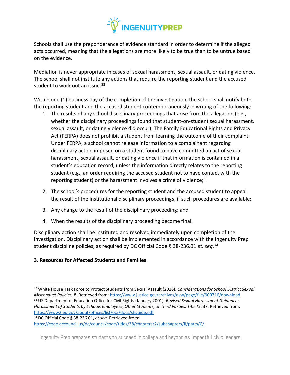

Schools shall use the preponderance of evidence standard in order to determine if the alleged acts occurred, meaning that the allegations are more likely to be true than to be untrue based on the evidence.

Mediation is never appropriate in cases of sexual harassment, sexual assault, or dating violence. The school shall not institute any actions that require the reporting student and the accused student to work out an issue.<sup>32</sup>

Within one (1) business day of the completion of the investigation, the school shall notify both the reporting student and the accused student contemporaneously in writing of the following:

- 1. The results of any school disciplinary proceedings that arise from the allegation (e.g., whether the disciplinary proceedings found that student-on-student sexual harassment, sexual assault, or dating violence did occur). The Family Educational Rights and Privacy Act (FERPA) does not prohibit a student from learning the outcome of their complaint. Under FERPA, a school cannot release information to a complainant regarding disciplinary action imposed on a student found to have committed an act of sexual harassment, sexual assault, or dating violence if that information is contained in a student's education record, unless the information directly relates to the reporting student (e.g., an order requiring the accused student not to have contact with the reporting student) or the harassment involves a crime of violence; $33$
- 2. The school's procedures for the reporting student and the accused student to appeal the result of the institutional disciplinary proceedings, if such procedures are available;
- 3. Any change to the result of the disciplinary proceeding; and
- 4. When the results of the disciplinary proceeding become final.

Disciplinary action shall be instituted and resolved immediately upon completion of the investigation. Disciplinary action shall be implemented in accordance with the Ingenuity Prep student discipline policies, as required by DC Official Code § 38-236.01 *et. seq.<sup>34</sup>*

## **3. Resources for Affected Students and Families**

<sup>34</sup> DC Official Code § 38-236.01, *et seq*. Retrieved from:

<sup>32</sup> White House Task Force to Protect Students from Sexual Assault (2016). *Considerations for School District Sexual Misconduct Policies,* 8. Retrieved from:<https://www.justice.gov/archives/ovw/page/file/900716/download> <sup>33</sup> US Department of Education Office for Civil Rights (January 2001). *Revised Sexual Harassment Guidance: Harassment of Students by Schools Employees, Other Students, or Third Parties: Title IX*, 37. Retrieved from: <https://www2.ed.gov/about/offices/list/ocr/docs/shguide.pdf>

<https://code.dccouncil.us/dc/council/code/titles/38/chapters/2/subchapters/II/parts/C/>

Ingenuity Prep prepares students to succeed in college and beyond as impactful civic leaders.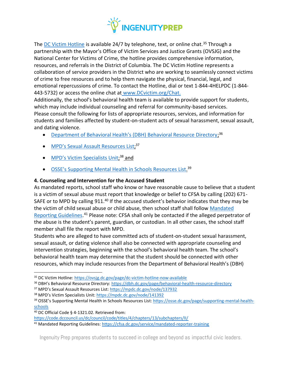

The [DC Victim Hotline](https://ovsjg.dc.gov/page/dc-victim-hotline-now-available) is available 24/7 by telephone, text, or online chat.<sup>35</sup> Through a partnership with the Mayor's Office of Victim Services and Justice Grants (OVSJG) and the National Center for Victims of Crime, the hotline provides comprehensive information, resources, and referrals in the District of Columbia. The DC Victim Hotline represents a collaboration of service providers in the District who are working to seamlessly connect victims of crime to free resources and to help them navigate the physical, financial, legal, and emotional repercussions of crime. To contact the Hotline, dial or text 1-844-4HELPDC (1-844- 443-5732) or access the online chat at [www.DCvictim.org/Chat.](http://www.dcvictim.org/Chat.)

Additionally, the school's behavioral health team is available to provide support for students, which may include individual counseling and referral for community-based services. Please consult the following for lists of appropriate resources, services, and information for students and families affected by student-on-student acts of sexual harassment, sexual assault, and dating violence.

- [Department of Behavioral Health's \(DBH\) Behavioral Resource Directory](https://dbh.dc.gov/page/behavioral-health-resource-directory);<sup>36</sup>
- MPD's Sexual As[sault Resources List;](https://mpdc.dc.gov/node/137932)<sup>37</sup>
- [MPD's Victim Specialists Unit](https://mpdc.dc.gov/node/141392);<sup>38</sup> and
- [OSSE's Supporting Mental Health in Schools Resources List](https://osse.dc.gov/page/supporting-mental-health-schools).<sup>39</sup>

## **4. Counseling and Intervention for the Accused Student**

As mandated reports, school staff who know or have reasonable cause to believe that a student is a victim of sexual abuse must report that knowledge or belief to CFSA by calling (202) 671- SAFE or to MPD by calling 911.<sup>40</sup> If the accused student's behavior indicates that they may be the victim of child sexual abuse or child abuse, then school staff shall follow [Mandated](https://cfsa.dc.gov/service/mandated-reporter-training)  [Reporting Guidelines.](https://cfsa.dc.gov/service/mandated-reporter-training)<sup>41</sup> Please note: CFSA shall only be contacted if the alleged perpetrator of the abuse is the student's parent, guardian, or custodian. In all other cases, the school staff member shall file the report with MPD.

Students who are alleged to have committed acts of student-on-student sexual harassment, sexual assault, or dating violence shall also be connected with appropriate counseling and intervention strategies, beginning with the school's behavioral health team. The school's behavioral health team may determine that the student should be connected with other resources, which may include resources from the Department of Behavioral Health's (DBH)

- <sup>36</sup> DBH's Behavioral Resource Directory: <https://dbh.dc.gov/page/behavioral-health-resource-directory>
- <sup>37</sup> MPD's Sexual Assault Resources List:<https://mpdc.dc.gov/node/137932>
- <sup>38</sup> MPD's Victim Specialists Unit: <https://mpdc.dc.gov/node/141392>

<sup>40</sup> DC Official Code § 4-1321.02. Retrieved from:

<https://code.dccouncil.us/dc/council/code/titles/4/chapters/13/subchapters/II/>

<sup>41</sup> Mandated Reporting Guidelines:<https://cfsa.dc.gov/service/mandated-reporter-training>

<sup>35</sup> DC Victim Hotline:<https://ovsjg.dc.gov/page/dc-victim-hotline-now-available>

<sup>39</sup> OSSE's Supporting Mental Health in Schools Resources List[: https://osse.dc.gov/page/supporting-mental-health](https://osse.dc.gov/page/supporting-mental-health-schools)[schools](https://osse.dc.gov/page/supporting-mental-health-schools)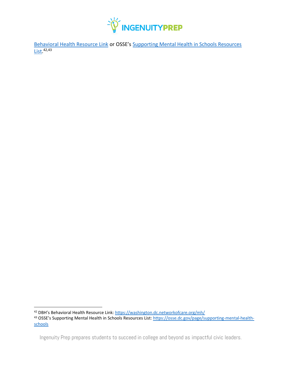

[Behavioral Health Resource Link](http://washington.dc.networkofcare.org/mh/) or OSSE's [Supporting Mental Health in Schools Resources](https://osse.dc.gov/page/supporting-mental-health-schools)  [List.](https://osse.dc.gov/page/supporting-mental-health-schools) 42,43

<sup>42</sup> DBH's Behavioral Health Resource Link: <https://washington.dc.networkofcare.org/mh/>

<sup>43</sup> OSSE's Supporting Mental Health in Schools Resources List: [https://osse.dc.gov/page/supporting-mental-health](https://osse.dc.gov/page/supporting-mental-health-schools)[schools](https://osse.dc.gov/page/supporting-mental-health-schools)

Ingenuity Prep prepares students to succeed in college and beyond as impactful civic leaders.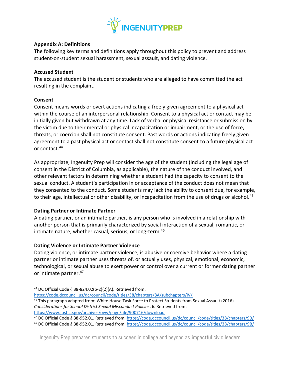

#### **Appendix A: Definitions**

The following key terms and definitions apply throughout this policy to prevent and address student-on-student sexual harassment, sexual assault, and dating violence.

#### **Accused Student**

The accused student is the student or students who are alleged to have committed the act resulting in the complaint.

## **Consent**

Consent means words or overt actions indicating a freely given agreement to a physical act within the course of an interpersonal relationship. Consent to a physical act or contact may be initially given but withdrawn at any time. Lack of verbal or physical resistance or submission by the victim due to their mental or physical incapacitation or impairment, or the use of force, threats, or coercion shall not constitute consent. Past words or actions indicating freely given agreement to a past physical act or contact shall not constitute consent to a future physical act or contact.<sup>44</sup>

As appropriate, Ingenuity Prep will consider the age of the student (including the legal age of consent in the District of Columbia, as applicable), the nature of the conduct involved, and other relevant factors in determining whether a student had the capacity to consent to the sexual conduct. A student's participation in or acceptance of the conduct does not mean that they consented to the conduct. Some students may lack the ability to consent due, for example, to their age, intellectual or other disability, or incapacitation from the use of drugs or alcohol.<sup>45</sup>

#### **Dating Partner or Intimate Partner**

A dating partner, or an intimate partner, is any person who is involved in a relationship with another person that is primarily characterized by social interaction of a sexual, romantic, or intimate nature, whether casual, serious, or long-term.<sup>46</sup>

## **Dating Violence or Intimate Partner Violence**

Dating violence, or intimate partner violence, is abusive or coercive behavior where a dating partner or intimate partner uses threats of, or actually uses, physical, emotional, economic, technological, or sexual abuse to exert power or control over a current or former dating partner or intimate partner.<sup>47</sup>

<sup>44</sup> DC Official Code § 38-824.02(b-2)(2)(A). Retrieved from:

<https://code.dccouncil.us/dc/council/code/titles/38/chapters/8A/subchapters/IV/>

<sup>45</sup> This paragraph adapted from: White House Task Force to Protect Students from Sexual Assault (2016). *Considerations for School District Sexual Misconduct Policies*, 6. Retrieved from: <https://www.justice.gov/archives/ovw/page/file/900716/download>

<sup>46</sup> DC Official Code § 38-952.01. Retrieved from:<https://code.dccouncil.us/dc/council/code/titles/38/chapters/9B/> <sup>47</sup> DC Official Code § 38-952.01*.* Retrieved from:<https://code.dccouncil.us/dc/council/code/titles/38/chapters/9B/>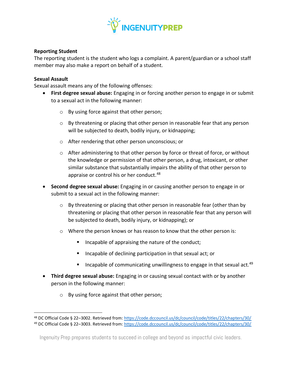

#### **Reporting Student**

The reporting student is the student who logs a complaint. A parent/guardian or a school staff member may also make a report on behalf of a student.

#### **Sexual Assault**

Sexual assault means any of the following offenses:

- **First degree sexual abuse:** Engaging in or forcing another person to engage in or submit to a sexual act in the following manner:
	- o By using force against that other person;
	- $\circ$  By threatening or placing that other person in reasonable fear that any person will be subjected to death, bodily injury, or kidnapping;
	- o After rendering that other person unconscious; or
	- $\circ$  After administering to that other person by force or threat of force, or without the knowledge or permission of that other person, a drug, intoxicant, or other similar substance that substantially impairs the ability of that other person to appraise or control his or her conduct.<sup>48</sup>
- **Second degree sexual abuse:** Engaging in or causing another person to engage in or submit to a sexual act in the following manner:
	- o By threatening or placing that other person in reasonable fear (other than by threatening or placing that other person in reasonable fear that any person will be subjected to death, bodily injury, or kidnapping); or
	- o Where the person knows or has reason to know that the other person is:
		- Incapable of appraising the nature of the conduct;
		- Incapable of declining participation in that sexual act; or
		- **E** Incapable of communicating unwillingness to engage in that sexual act.<sup>49</sup>
- **Third degree sexual abuse:** Engaging in or causing sexual contact with or by another person in the following manner:
	- o By using force against that other person;

<sup>48</sup> DC Official Code § 22–3002. Retrieved from:<https://code.dccouncil.us/dc/council/code/titles/22/chapters/30/> <sup>49</sup> DC Official Code § 22–3003. Retrieved from:<https://code.dccouncil.us/dc/council/code/titles/22/chapters/30/>

Ingenuity Prep prepares students to succeed in college and beyond as impactful civic leaders.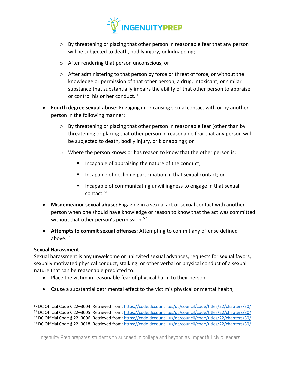

- o By threatening or placing that other person in reasonable fear that any person will be subjected to death, bodily injury, or kidnapping;
- o After rendering that person unconscious; or
- o After administering to that person by force or threat of force, or without the knowledge or permission of that other person, a drug, intoxicant, or similar substance that substantially impairs the ability of that other person to appraise or control his or her conduct.<sup>50</sup>
- **Fourth degree sexual abuse:** Engaging in or causing sexual contact with or by another person in the following manner:
	- $\circ$  By threatening or placing that other person in reasonable fear (other than by threatening or placing that other person in reasonable fear that any person will be subjected to death, bodily injury, or kidnapping); or
	- $\circ$  Where the person knows or has reason to know that the other person is:
		- Incapable of appraising the nature of the conduct;
		- Incapable of declining participation in that sexual contact; or
		- Incapable of communicating unwillingness to engage in that sexual contact.<sup>51</sup>
- **Misdemeanor sexual abuse:** Engaging in a sexual act or sexual contact with another person when one should have knowledge or reason to know that the act was committed without that other person's permission.<sup>52</sup>
- **Attempts to commit sexual offenses:** Attempting to commit any offense defined above. $53$

#### **Sexual Harassment**

Sexual harassment is any unwelcome or uninvited sexual advances, requests for sexual favors, sexually motivated physical conduct, stalking, or other verbal or physical conduct of a sexual nature that can be reasonable predicted to:

- Place the victim in reasonable fear of physical harm to their person;
- Cause a substantial detrimental effect to the victim's physical or mental health;

<sup>50</sup> DC Official Code § 22–3004. Retrieved from:<https://code.dccouncil.us/dc/council/code/titles/22/chapters/30/>

<sup>51</sup> DC Official Code § 22–3005. Retrieved from:<https://code.dccouncil.us/dc/council/code/titles/22/chapters/30/>

<sup>52</sup> DC Official Code § 22–3006. Retrieved from:<https://code.dccouncil.us/dc/council/code/titles/22/chapters/30/>

<sup>53</sup> DC Official Code § 22–3018. Retrieved from:<https://code.dccouncil.us/dc/council/code/titles/22/chapters/30/>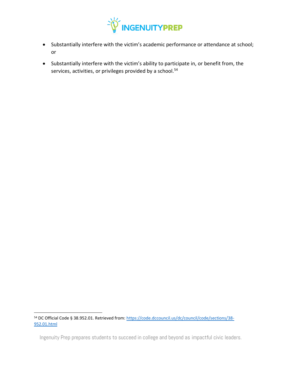

- Substantially interfere with the victim's academic performance or attendance at school; or
- Substantially interfere with the victim's ability to participate in, or benefit from, the services, activities, or privileges provided by a school.<sup>54</sup>

<sup>54</sup> DC Official Code § 38.952.01. Retrieved from: [https://code.dccouncil.us/dc/council/code/sections/38-](https://code.dccouncil.us/dc/council/code/sections/38-952.01.html) [952.01.html](https://code.dccouncil.us/dc/council/code/sections/38-952.01.html)

Ingenuity Prep prepares students to succeed in college and beyond as impactful civic leaders.